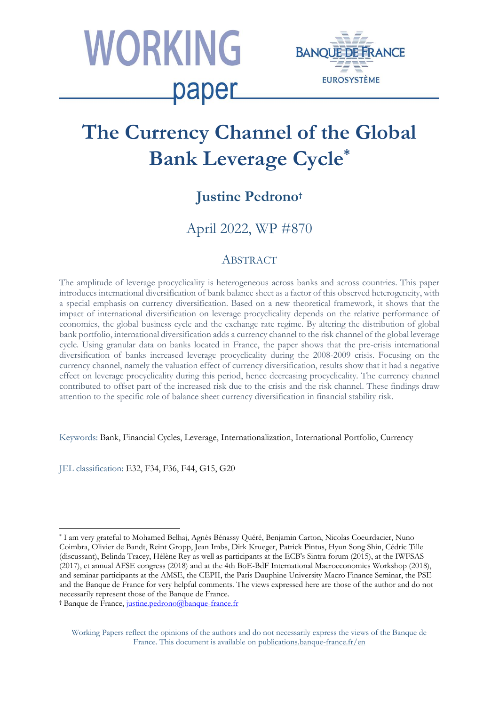



# **The Currency Channel of the Global Bank Leverage Cycle\***

## **Justine Pedrono†**

April 2022, WP #870

## ABSTRACT

The amplitude of leverage procyclicality is heterogeneous across banks and across countries. This paper introduces international diversification of bank balance sheet as a factor of this observed heterogeneity, with a special emphasis on currency diversification. Based on a new theoretical framework, it shows that the impact of international diversification on leverage procyclicality depends on the relative performance of economies, the global business cycle and the exchange rate regime. By altering the distribution of global bank portfolio, international diversification adds a currency channel to the risk channel of the global leverage cycle. Using granular data on banks located in France, the paper shows that the pre-crisis international diversification of banks increased leverage procyclicality during the 2008-2009 crisis. Focusing on the currency channel, namely the valuation effect of currency diversification, results show that it had a negative effect on leverage procyclicality during this period, hence decreasing procyclicality. The currency channel contributed to offset part of the increased risk due to the crisis and the risk channel. These findings draw attention to the specific role of balance sheet currency diversification in financial stability risk.

Keywords: Bank, Financial Cycles, Leverage, Internationalization, International Portfolio, Currency

JEL classification: E32, F34, F36, F44, G15, G20

† Banque de France[, justine.pedrono@banque-france.fr](mailto:justine.pedrono@banque-france.fr)

<sup>\*</sup> I am very grateful to Mohamed Belhaj, Agnès Bénassy Quéré, Benjamin Carton, Nicolas Coeurdacier, Nuno Coimbra, Olivier de Bandt, Reint Gropp, Jean Imbs, Dirk Krueger, Patrick Pintus, Hyun Song Shin, Cédric Tille (discussant), Belinda Tracey, Hélène Rey as well as participants at the ECB's Sintra forum (2015), at the IWFSAS (2017), et annual AFSE congress (2018) and at the 4th BoE-BdF International Macroeconomics Workshop (2018), and seminar participants at the AMSE, the CEPII, the Paris Dauphine University Macro Finance Seminar, the PSE and the Banque de France for very helpful comments. The views expressed here are those of the author and do not necessarily represent those of the Banque de France.

Working Papers reflect the opinions of the authors and do not necessarily express the views of the Banque de France. This document is available on [publications.banque-france.fr/en](https://publications.banque-france.fr/en)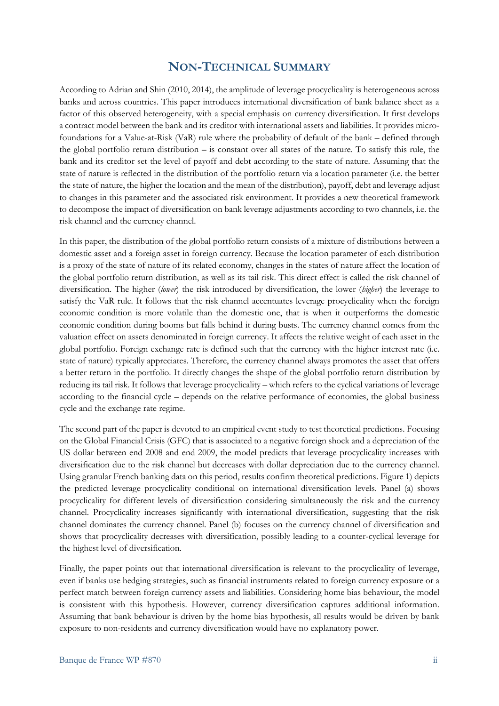## **NON-TECHNICAL SUMMARY**

According to Adrian and Shin (2010, 2014), the amplitude of leverage procyclicality is heterogeneous across banks and across countries. This paper introduces international diversification of bank balance sheet as a factor of this observed heterogeneity, with a special emphasis on currency diversification. It first develops a contract model between the bank and its creditor with international assets and liabilities. It provides microfoundations for a Value-at-Risk (VaR) rule where the probability of default of the bank – defined through the global portfolio return distribution – is constant over all states of the nature. To satisfy this rule, the bank and its creditor set the level of payoff and debt according to the state of nature. Assuming that the state of nature is reflected in the distribution of the portfolio return via a location parameter (i.e. the better the state of nature, the higher the location and the mean of the distribution), payoff, debt and leverage adjust to changes in this parameter and the associated risk environment. It provides a new theoretical framework to decompose the impact of diversification on bank leverage adjustments according to two channels, i.e. the risk channel and the currency channel.

In this paper, the distribution of the global portfolio return consists of a mixture of distributions between a domestic asset and a foreign asset in foreign currency. Because the location parameter of each distribution is a proxy of the state of nature of its related economy, changes in the states of nature affect the location of the global portfolio return distribution, as well as its tail risk. This direct effect is called the risk channel of diversification. The higher (*lower*) the risk introduced by diversification, the lower (*higher*) the leverage to satisfy the VaR rule. It follows that the risk channel accentuates leverage procyclicality when the foreign economic condition is more volatile than the domestic one, that is when it outperforms the domestic economic condition during booms but falls behind it during busts. The currency channel comes from the valuation effect on assets denominated in foreign currency. It affects the relative weight of each asset in the global portfolio. Foreign exchange rate is defined such that the currency with the higher interest rate (i.e. state of nature) typically appreciates. Therefore, the currency channel always promotes the asset that offers a better return in the portfolio. It directly changes the shape of the global portfolio return distribution by reducing its tail risk. It follows that leverage procyclicality – which refers to the cyclical variations of leverage according to the financial cycle – depends on the relative performance of economies, the global business cycle and the exchange rate regime.

The second part of the paper is devoted to an empirical event study to test theoretical predictions. Focusing on the Global Financial Crisis (GFC) that is associated to a negative foreign shock and a depreciation of the US dollar between end 2008 and end 2009, the model predicts that leverage procyclicality increases with diversification due to the risk channel but decreases with dollar depreciation due to the currency channel. Using granular French banking data on this period, results confirm theoretical predictions. Figure 1) depicts the predicted leverage procyclicality conditional on international diversification levels. Panel (a) shows procyclicality for different levels of diversification considering simultaneously the risk and the currency channel. Procyclicality increases significantly with international diversification, suggesting that the risk channel dominates the currency channel. Panel (b) focuses on the currency channel of diversification and shows that procyclicality decreases with diversification, possibly leading to a counter-cyclical leverage for the highest level of diversification.

Finally, the paper points out that international diversification is relevant to the procyclicality of leverage, even if banks use hedging strategies, such as financial instruments related to foreign currency exposure or a perfect match between foreign currency assets and liabilities. Considering home bias behaviour, the model is consistent with this hypothesis. However, currency diversification captures additional information. Assuming that bank behaviour is driven by the home bias hypothesis, all results would be driven by bank exposure to non-residents and currency diversification would have no explanatory power.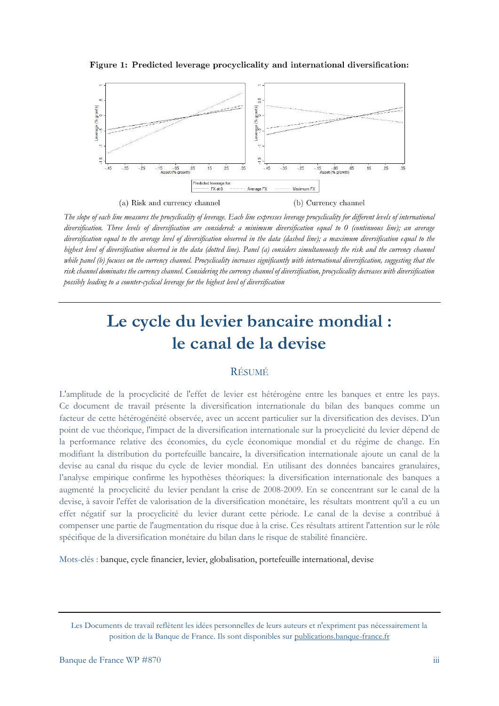Figure 1: Predicted leverage procyclicality and international diversification:



*The slope of each line measures the procyclicality of leverage. Each line expresses leverage procyclicality for different levels of international diversification. Three levels of diversification are considered: a minimum diversification equal to 0 (continuous line); an average diversification equal to the average level of diversification observed in the data (dashed line); a maximum diversification equal to the highest level of diversification observed in the data (dotted line). Panel (a) considers simultaneously the risk and the currency channel while panel (b) focuses on the currency channel. Procyclicality increases significantly with international diversification, suggesting that the risk channel dominates the currency channel. Considering the currency channel of diversification, procyclicality decreases with diversification possibly leading to a counter-cyclical leverage for the highest level of diversification*

## **Le cycle du levier bancaire mondial : le canal de la devise**

#### RÉSUMÉ

L'amplitude de la procyclicité de l'effet de levier est hétérogène entre les banques et entre les pays. Ce document de travail présente la diversification internationale du bilan des banques comme un facteur de cette hétérogénéité observée, avec un accent particulier sur la diversification des devises. D'un point de vue théorique, l'impact de la diversification internationale sur la procyclicité du levier dépend de la performance relative des économies, du cycle économique mondial et du régime de change. En modifiant la distribution du portefeuille bancaire, la diversification internationale ajoute un canal de la devise au canal du risque du cycle de levier mondial. En utilisant des données bancaires granulaires, l'analyse empirique confirme les hypothèses théoriques: la diversification internationale des banques a augmenté la procyclicité du levier pendant la crise de 2008-2009. En se concentrant sur le canal de la devise, à savoir l'effet de valorisation de la diversification monétaire, les résultats montrent qu'il a eu un effet négatif sur la procyclicité du levier durant cette période. Le canal de la devise a contribué à compenser une partie de l'augmentation du risque due à la crise. Ces résultats attirent l'attention sur le rôle spécifique de la diversification monétaire du bilan dans le risque de stabilité financière.

Mots-clés : banque, cycle financier, levier, globalisation, portefeuille international, devise

Les Documents de travail reflètent les idées personnelles de leurs auteurs et n'expriment pas nécessairement la position de la Banque de France. Ils sont disponibles sur [publications.banque-france.fr](https://publications.banque-france.fr/)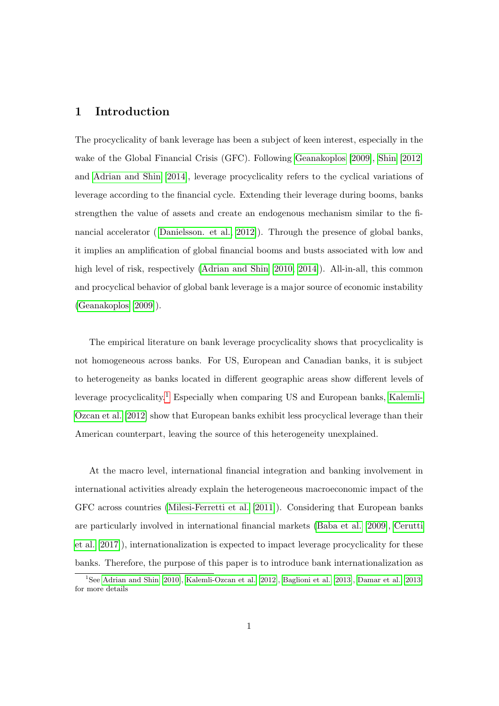#### 1 Introduction

The procyclicality of bank leverage has been a subject of keen interest, especially in the wake of the Global Financial Crisis (GFC). Following [Geanakoplos](#page-31-0) [\[2009\]](#page-31-0), [Shin](#page-32-0) [\[2012\]](#page-32-0) and [Adrian and Shin](#page-30-0) [\[2014\]](#page-30-0), leverage procyclicality refers to the cyclical variations of leverage according to the financial cycle. Extending their leverage during booms, banks strengthen the value of assets and create an endogenous mechanism similar to the financial accelerator ([\[Danielsson. et al., 2012\]](#page-31-1)). Through the presence of global banks, it implies an amplification of global financial booms and busts associated with low and high level of risk, respectively [\(Adrian and Shin](#page-30-1) [\[2010,](#page-30-1) [2014\]](#page-30-0)). All-in-all, this common and procyclical behavior of global bank leverage is a major source of economic instability [\(Geanakoplos](#page-31-0) [\[2009\]](#page-31-0)).

The empirical literature on bank leverage procyclicality shows that procyclicality is not homogeneous across banks. For US, European and Canadian banks, it is subject to heterogeneity as banks located in different geographic areas show different levels of leverage procyclicality.[1](#page--1-0) Especially when comparing US and European banks, [Kalemli-](#page-31-2)[Ozcan et al.](#page-31-2) [\[2012\]](#page-31-2) show that European banks exhibit less procyclical leverage than their American counterpart, leaving the source of this heterogeneity unexplained.

At the macro level, international financial integration and banking involvement in international activities already explain the heterogeneous macroeconomic impact of the GFC across countries [\(Milesi-Ferretti et al.](#page-32-1) [\[2011\]](#page-32-1)). Considering that European banks are particularly involved in international financial markets [\(Baba et al.](#page-30-2) [\[2009\]](#page-30-2), [Cerutti](#page-30-3) [et al.](#page-30-3) [\[2017\]](#page-30-3)), internationalization is expected to impact leverage procyclicality for these banks. Therefore, the purpose of this paper is to introduce bank internationalization as

<sup>&</sup>lt;sup>1</sup>See [Adrian and Shin](#page-30-1) [\[2010\]](#page-30-1), [Kalemli-Ozcan et al.](#page-31-2) [\[2012\]](#page-31-2), [Baglioni et al.](#page-30-4) [\[2013\]](#page-30-5), [Damar et al.](#page-30-5) [2013] for more details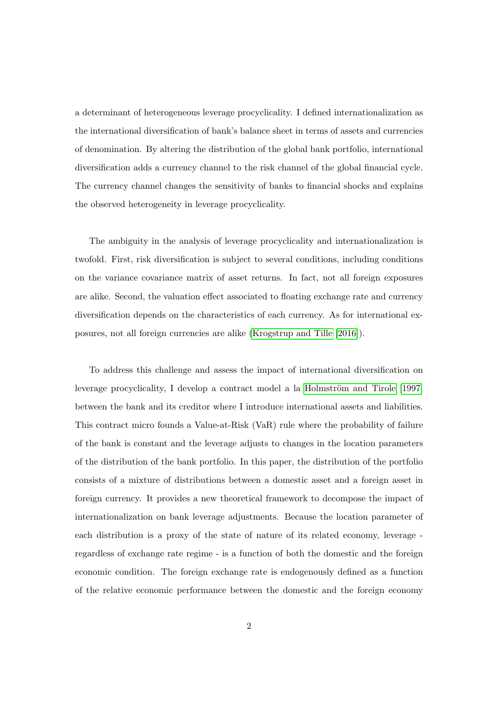a determinant of heterogeneous leverage procyclicality. I defined internationalization as the international diversification of bank's balance sheet in terms of assets and currencies of denomination. By altering the distribution of the global bank portfolio, international diversification adds a currency channel to the risk channel of the global financial cycle. The currency channel changes the sensitivity of banks to financial shocks and explains the observed heterogeneity in leverage procyclicality.

The ambiguity in the analysis of leverage procyclicality and internationalization is twofold. First, risk diversification is subject to several conditions, including conditions on the variance covariance matrix of asset returns. In fact, not all foreign exposures are alike. Second, the valuation effect associated to floating exchange rate and currency diversification depends on the characteristics of each currency. As for international exposures, not all foreign currencies are alike [\(Krogstrup and Tille](#page-31-3) [\[2016\]](#page-31-3)).

To address this challenge and assess the impact of international diversification on leverage procyclicality, I develop a contract model a la Holmström and Tirole  $[1997]$ between the bank and its creditor where I introduce international assets and liabilities. This contract micro founds a Value-at-Risk (VaR) rule where the probability of failure of the bank is constant and the leverage adjusts to changes in the location parameters of the distribution of the bank portfolio. In this paper, the distribution of the portfolio consists of a mixture of distributions between a domestic asset and a foreign asset in foreign currency. It provides a new theoretical framework to decompose the impact of internationalization on bank leverage adjustments. Because the location parameter of each distribution is a proxy of the state of nature of its related economy, leverage regardless of exchange rate regime - is a function of both the domestic and the foreign economic condition. The foreign exchange rate is endogenously defined as a function of the relative economic performance between the domestic and the foreign economy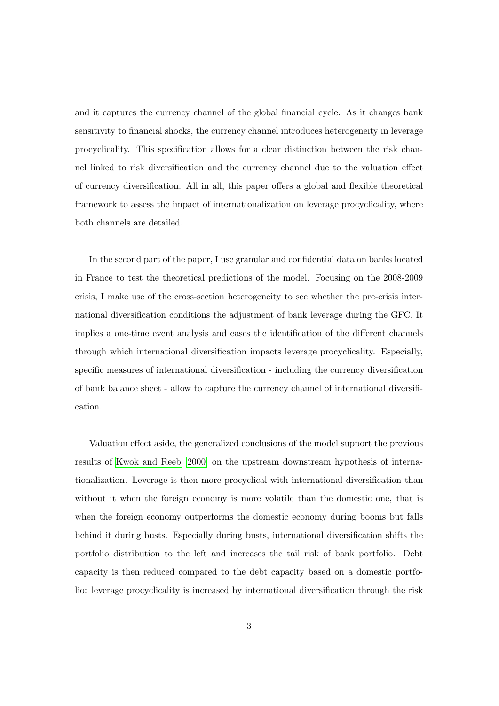and it captures the currency channel of the global financial cycle. As it changes bank sensitivity to financial shocks, the currency channel introduces heterogeneity in leverage procyclicality. This specification allows for a clear distinction between the risk channel linked to risk diversification and the currency channel due to the valuation effect of currency diversification. All in all, this paper offers a global and flexible theoretical framework to assess the impact of internationalization on leverage procyclicality, where both channels are detailed.

In the second part of the paper, I use granular and confidential data on banks located in France to test the theoretical predictions of the model. Focusing on the 2008-2009 crisis, I make use of the cross-section heterogeneity to see whether the pre-crisis international diversification conditions the adjustment of bank leverage during the GFC. It implies a one-time event analysis and eases the identification of the different channels through which international diversification impacts leverage procyclicality. Especially, specific measures of international diversification - including the currency diversification of bank balance sheet - allow to capture the currency channel of international diversification.

Valuation effect aside, the generalized conclusions of the model support the previous results of [Kwok and Reeb](#page-31-5) [\[2000\]](#page-31-5) on the upstream downstream hypothesis of internationalization. Leverage is then more procyclical with international diversification than without it when the foreign economy is more volatile than the domestic one, that is when the foreign economy outperforms the domestic economy during booms but falls behind it during busts. Especially during busts, international diversification shifts the portfolio distribution to the left and increases the tail risk of bank portfolio. Debt capacity is then reduced compared to the debt capacity based on a domestic portfolio: leverage procyclicality is increased by international diversification through the risk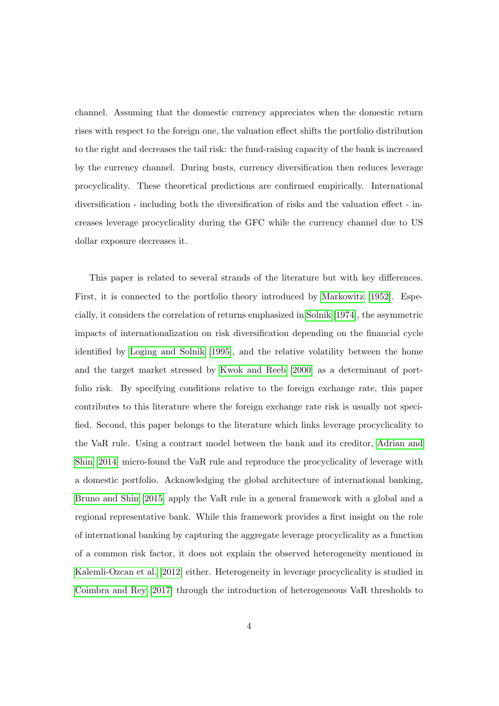channel. Assuming that the domestic currency appreciates when the domestic return rises with respect to the foreign one, the valuation effect shifts the portfolio distribution to the right and decreases the tail risk: the fund-raising capacity of the bank is increased by the currency channel. During busts, currency diversification then reduces leverage procyclicality. These theoretical predictions are confirmed empirically. International diversification - including both the diversification of risks and the valuation effect - increases leverage procyclicality during the GFC while the currency channel due to US dollar exposure decreases it.

This paper is related to several strands of the literature but with key differences. First, it is connected to the portfolio theory introduced by [Markowitz](#page-32-2) [\[1952\]](#page-32-2). Especially, it considers the correlation of returns emphasized in [Solnik](#page-32-3) [\[1974\]](#page-32-3), the asymmetric impacts of internationalization on risk diversification depending on the financial cycle identified by [Loging and Solnik](#page-32-4) [\[1995\]](#page-32-4), and the relative volatility between the home and the target market stressed by [Kwok and Reeb](#page-31-5) [\[2000\]](#page-31-5) as a determinant of portfolio risk. By specifying conditions relative to the foreign exchange rate, this paper contributes to this literature where the foreign exchange rate risk is usually not specified. Second, this paper belongs to the literature which links leverage procyclicality to the VaR rule. Using a contract model between the bank and its creditor, [Adrian and](#page-30-0) [Shin](#page-30-0) [\[2014\]](#page-30-0) micro-found the VaR rule and reproduce the procyclicality of leverage with a domestic portfolio. Acknowledging the global architecture of international banking, [Bruno and Shin](#page-30-6) [\[2015\]](#page-30-6) apply the VaR rule in a general framework with a global and a regional representative bank. While this framework provides a first insight on the role of international banking by capturing the aggregate leverage procyclicality as a function of a common risk factor, it does not explain the observed heterogeneity mentioned in [Kalemli-Ozcan et al.](#page-31-2) [\[2012\]](#page-31-2) either. Heterogeneity in leverage procyclicality is studied in [Coimbra and Rey](#page-30-7) [\[2017\]](#page-30-7) through the introduction of heterogeneous VaR thresholds to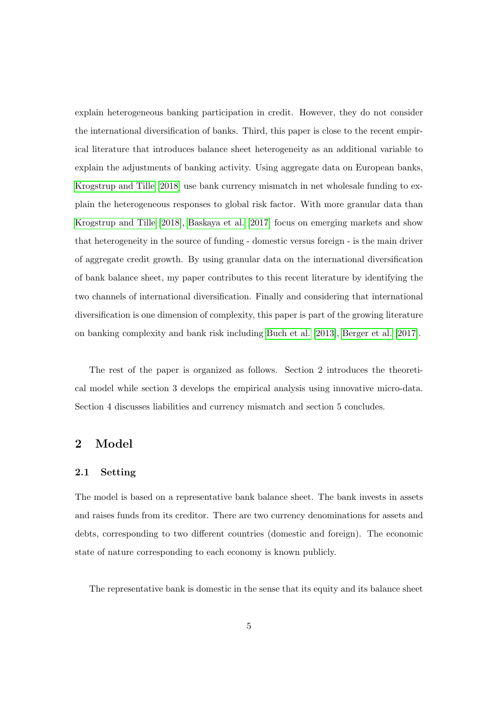explain heterogeneous banking participation in credit. However, they do not consider the international diversification of banks. Third, this paper is close to the recent empirical literature that introduces balance sheet heterogeneity as an additional variable to explain the adjustments of banking activity. Using aggregate data on European banks, [Krogstrup and Tille](#page-31-6) [\[2018\]](#page-31-6) use bank currency mismatch in net wholesale funding to explain the heterogeneous responses to global risk factor. With more granular data than [Krogstrup and Tille](#page-31-6) [\[2018\]](#page-31-6), [Baskaya et al.](#page-30-8) [\[2017\]](#page-30-8) focus on emerging markets and show that heterogeneity in the source of funding - domestic versus foreign - is the main driver of aggregate credit growth. By using granular data on the international diversification of bank balance sheet, my paper contributes to this recent literature by identifying the two channels of international diversification. Finally and considering that international diversification is one dimension of complexity, this paper is part of the growing literature on banking complexity and bank risk including [Buch et al.](#page-30-9) [\[2013\]](#page-30-9), [Berger et al.](#page-30-10) [\[2017\]](#page-30-10).

The rest of the paper is organized as follows. Section 2 introduces the theoretical model while section 3 develops the empirical analysis using innovative micro-data. Section 4 discusses liabilities and currency mismatch and section 5 concludes.

#### 2 Model

#### 2.1 Setting

The model is based on a representative bank balance sheet. The bank invests in assets and raises funds from its creditor. There are two currency denominations for assets and debts, corresponding to two different countries (domestic and foreign). The economic state of nature corresponding to each economy is known publicly.

The representative bank is domestic in the sense that its equity and its balance sheet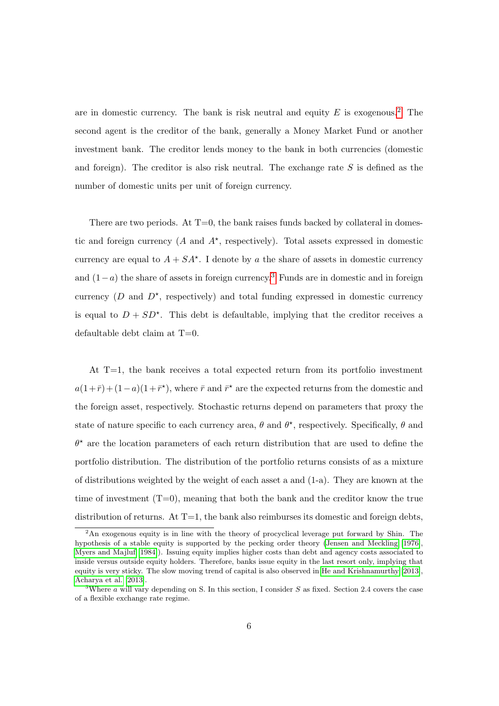are in domestic currency. The bank is risk neutral and equity  $E$  is exogenous.<sup>[2](#page--1-0)</sup> The second agent is the creditor of the bank, generally a Money Market Fund or another investment bank. The creditor lends money to the bank in both currencies (domestic and foreign). The creditor is also risk neutral. The exchange rate  $S$  is defined as the number of domestic units per unit of foreign currency.

There are two periods. At  $T=0$ , the bank raises funds backed by collateral in domestic and foreign currency  $(A \text{ and } A^*$ , respectively). Total assets expressed in domestic currency are equal to  $A + SA^*$ . I denote by a the share of assets in domestic currency and  $(1-a)$  the share of assets in foreign currency.<sup>[3](#page--1-0)</sup> Funds are in domestic and in foreign currency  $(D \text{ and } D^*$ , respectively) and total funding expressed in domestic currency is equal to  $D + SD^*$ . This debt is defaultable, implying that the creditor receives a defaultable debt claim at T=0.

At T=1, the bank receives a total expected return from its portfolio investment  $a(1+\bar{r}) + (1-a)(1+\bar{r}^*)$ , where  $\bar{r}$  and  $\bar{r}^*$  are the expected returns from the domestic and the foreign asset, respectively. Stochastic returns depend on parameters that proxy the state of nature specific to each currency area,  $\theta$  and  $\theta^*$ , respectively. Specifically,  $\theta$  and  $\theta^*$  are the location parameters of each return distribution that are used to define the portfolio distribution. The distribution of the portfolio returns consists of as a mixture of distributions weighted by the weight of each asset a and (1-a). They are known at the time of investment  $(T=0)$ , meaning that both the bank and the creditor know the true distribution of returns. At  $T=1$ , the bank also reimburses its domestic and foreign debts,

<sup>2</sup>An exogenous equity is in line with the theory of procyclical leverage put forward by Shin. The hypothesis of a stable equity is supported by the pecking order theory [\(Jensen and Meckling](#page-31-7) [\[1976\]](#page-31-7), [Myers and Majluf](#page-32-5) [\[1984\]](#page-32-5)). Issuing equity implies higher costs than debt and agency costs associated to inside versus outside equity holders. Therefore, banks issue equity in the last resort only, implying that equity is very sticky. The slow moving trend of capital is also observed in [He and Krishnamurthy](#page-31-8) [\[2013\]](#page-31-8), [Acharya et al.](#page-30-11) [\[2013\]](#page-30-11).

<sup>&</sup>lt;sup>3</sup>Where a will vary depending on S. In this section, I consider S as fixed. Section 2.4 covers the case of a flexible exchange rate regime.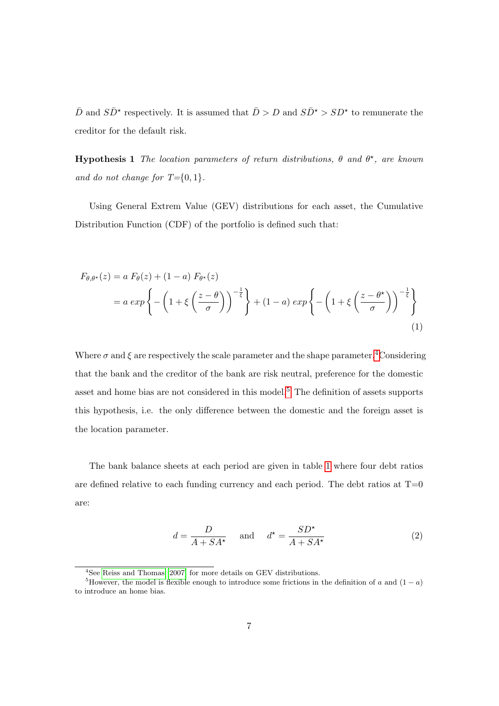$\bar{D}$  and  $S\bar{D}^{\star}$  respectively. It is assumed that  $\bar{D} > D$  and  $S\bar{D}^{\star} > SD^{\star}$  to remunerate the creditor for the default risk.

**Hypothesis 1** The location parameters of return distributions,  $\theta$  and  $\theta^*$ , are known and do not change for  $T = \{0, 1\}.$ 

Using General Extrem Value (GEV) distributions for each asset, the Cumulative Distribution Function (CDF) of the portfolio is defined such that:

$$
F_{\theta,\theta^*}(z) = a F_{\theta}(z) + (1 - a) F_{\theta^*}(z)
$$
  
=  $a \exp \left\{-\left(1 + \xi \left(\frac{z - \theta}{\sigma}\right)\right)^{-\frac{1}{\xi}}\right\} + (1 - a) \exp \left\{-\left(1 + \xi \left(\frac{z - \theta^*}{\sigma}\right)\right)^{-\frac{1}{\xi}}\right\}$  (1)

Where  $\sigma$  and  $\xi$  are respectively the scale parameter and the shape parameter.<sup>[4](#page--1-0)</sup>Considering that the bank and the creditor of the bank are risk neutral, preference for the domestic asset and home bias are not considered in this model.<sup>[5](#page--1-0)</sup> The definition of assets supports this hypothesis, i.e. the only difference between the domestic and the foreign asset is the location parameter.

The bank balance sheets at each period are given in table [1](#page-10-0) where four debt ratios are defined relative to each funding currency and each period. The debt ratios at  $T=0$ are:

$$
d = \frac{D}{A + SA^{\star}} \quad \text{and} \quad d^{\star} = \frac{SD^{\star}}{A + SA^{\star}} \tag{2}
$$

<sup>4</sup>See [Reiss and Thomas](#page-32-6) [\[2007\]](#page-32-6) for more details on GEV distributions.

<sup>&</sup>lt;sup>5</sup>However, the model is flexible enough to introduce some frictions in the definition of a and  $(1 - a)$ to introduce an home bias.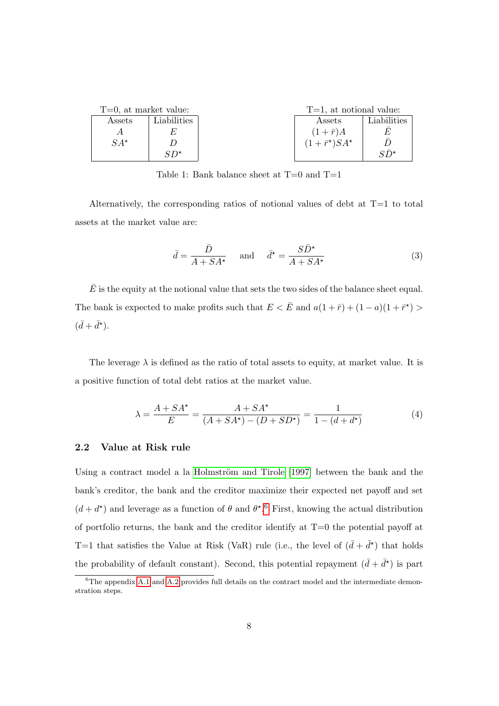<span id="page-10-0"></span>

| $T=0$ , at market value: |              | $T=1$ , at notional value:      |             |
|--------------------------|--------------|---------------------------------|-------------|
| Assets                   | Liabilities  | Assets                          | Liabilities |
|                          |              | $(1+\bar{r})A$                  |             |
| $SA^{\star}$             |              | $(1+\bar{r}^{\star})SA^{\star}$ |             |
|                          | $SD^{\star}$ |                                 | C⊓*         |

Table 1: Bank balance sheet at  $T=0$  and  $T=1$ 

Alternatively, the corresponding ratios of notional values of debt at  $T=1$  to total assets at the market value are:

$$
\bar{d} = \frac{\bar{D}}{A + SA^{\star}} \quad \text{and} \quad \bar{d}^{\star} = \frac{S\bar{D}^{\star}}{A + SA^{\star}} \tag{3}
$$

 $\overline{E}$  is the equity at the notional value that sets the two sides of the balance sheet equal. The bank is expected to make profits such that  $E < \bar{E}$  and  $a(1+\bar{r}) + (1-a)(1+\bar{r}^*)$  $(\bar{d} + \bar{d}^{\star}).$ 

The leverage  $\lambda$  is defined as the ratio of total assets to equity, at market value. It is a positive function of total debt ratios at the market value.

$$
\lambda = \frac{A + SA^{\star}}{E} = \frac{A + SA^{\star}}{(A + SA^{\star}) - (D + SD^{\star})} = \frac{1}{1 - (d + d^{\star})}
$$
(4)

#### 2.2 Value at Risk rule

Using a contract model a la Holmström and Tirole [\[1997\]](#page-31-4) between the bank and the bank's creditor, the bank and the creditor maximize their expected net payoff and set  $(d + d^*)$  and leverage as a function of  $\theta$  and  $\theta^*$ .<sup>[6](#page--1-0)</sup> First, knowing the actual distribution of portfolio returns, the bank and the creditor identify at  $T=0$  the potential payoff at T=1 that satisfies the Value at Risk (VaR) rule (i.e., the level of  $(\bar{d} + \bar{d}^*)$  that holds the probability of default constant). Second, this potential repayment  $(\bar{d} + \bar{d}^*)$  is part

 $6$ The appendix [A.1](#page-37-0) and [A.2](#page-39-0) provides full details on the contract model and the intermediate demonstration steps.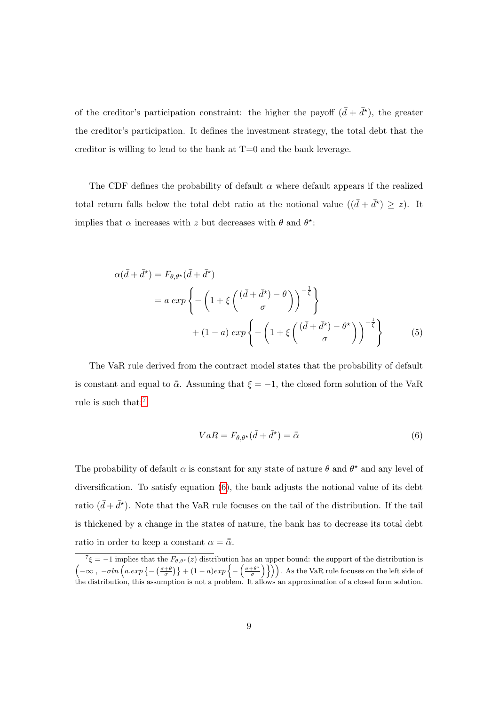of the creditor's participation constraint: the higher the payoff  $(\bar{d} + \bar{d}^{\star})$ , the greater the creditor's participation. It defines the investment strategy, the total debt that the creditor is willing to lend to the bank at  $T=0$  and the bank leverage.

The CDF defines the probability of default  $\alpha$  where default appears if the realized total return falls below the total debt ratio at the notional value  $((\bar{d} + \bar{d}^{\star}) \geq z)$ . It implies that  $\alpha$  increases with z but decreases with  $\theta$  and  $\theta^*$ :

$$
\alpha(\bar{d} + \bar{d}^{\star}) = F_{\theta, \theta^{\star}}(\bar{d} + \bar{d}^{\star})
$$
  
=  $a \exp \left\{-\left(1 + \xi \left(\frac{(\bar{d} + \bar{d}^{\star}) - \theta}{\sigma}\right)\right)^{-\frac{1}{\xi}}\right\}$   
+  $(1 - a) \exp \left\{-\left(1 + \xi \left(\frac{(\bar{d} + \bar{d}^{\star}) - \theta^{\star}}{\sigma}\right)\right)^{-\frac{1}{\xi}}\right\}$  (5)

The VaR rule derived from the contract model states that the probability of default is constant and equal to  $\bar{\alpha}$ . Assuming that  $\xi = -1$ , the closed form solution of the VaR rule is such that:[7](#page--1-0)

<span id="page-11-0"></span>
$$
VaR = F_{\theta,\theta^*}(\bar{d} + \bar{d}^*) = \bar{\bar{\alpha}} \tag{6}
$$

The probability of default  $\alpha$  is constant for any state of nature  $\theta$  and  $\theta^*$  and any level of diversification. To satisfy equation [\(6\)](#page-11-0), the bank adjusts the notional value of its debt ratio  $(\bar{d} + \bar{d}^{\star})$ . Note that the VaR rule focuses on the tail of the distribution. If the tail is thickened by a change in the states of nature, the bank has to decrease its total debt ratio in order to keep a constant  $\alpha = \bar{\bar{\alpha}}$ .

 $^7\xi = -1$  implies that the  $F_{\theta,\theta^*}(z)$  distribution has an upper bound: the support of the distribution is  $\left(-\infty, -\sigma ln\left(a. exp\left\{-\left(\frac{\sigma+\theta}{\sigma}\right)\right\} + (1-a)exp\left\{-\left(\frac{\sigma+\theta^*}{\sigma}\right)\right\}\right\}\right)$  $\left(\frac{+\theta^{\star}}{\sigma}\right)\}\)$ . As the VaR rule focuses on the left side of the distribution, this assumption is not a problem. It allows an approximation of a closed form solution.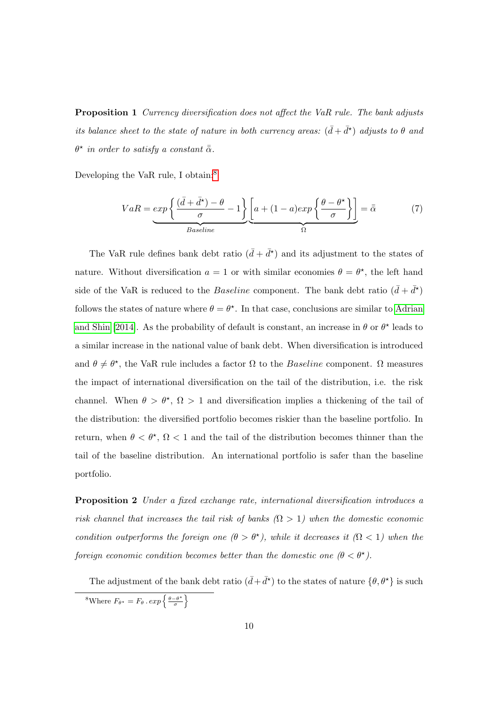Proposition 1 Currency diversification does not affect the VaR rule. The bank adjusts its balance sheet to the state of nature in both currency areas:  $(\bar{d} + \bar{d}^{\star})$  adjusts to  $\theta$  and  $\theta^\star$  in order to satisfy a constant  $\bar{\bar{\alpha}}$ .

Developing the VaR rule, I obtain:[8](#page--1-0)

$$
VaR = exp\left\{\frac{(\bar{d} + \bar{d}^*) - \theta}{\sigma} - 1\right\} \underbrace{\left[a + (1 - a)exp\left\{\frac{\theta - \theta^*}{\sigma}\right\}\right]}_{Basicline} = \bar{\bar{\alpha}} \tag{7}
$$

The VaR rule defines bank debt ratio  $(\bar{d} + \bar{d}^{\star})$  and its adjustment to the states of nature. Without diversification  $a = 1$  or with similar economies  $\theta = \theta^*$ , the left hand side of the VaR is reduced to the *Baseline* component. The bank debt ratio  $(\bar{d} + \bar{d}^{\star})$ follows the states of nature where  $\theta = \theta^*$ . In that case, conclusions are similar to [Adrian](#page-30-0) [and Shin](#page-30-0) [\[2014\]](#page-30-0). As the probability of default is constant, an increase in  $\theta$  or  $\theta^*$  leads to a similar increase in the national value of bank debt. When diversification is introduced and  $\theta \neq \theta^*$ , the VaR rule includes a factor  $\Omega$  to the *Baseline* component.  $\Omega$  measures the impact of international diversification on the tail of the distribution, i.e. the risk channel. When  $\theta > \theta^*$ ,  $\Omega > 1$  and diversification implies a thickening of the tail of the distribution: the diversified portfolio becomes riskier than the baseline portfolio. In return, when  $\theta < \theta^*$ ,  $\Omega < 1$  and the tail of the distribution becomes thinner than the tail of the baseline distribution. An international portfolio is safer than the baseline portfolio.

Proposition 2 Under a fixed exchange rate, international diversification introduces a risk channel that increases the tail risk of banks  $(Ω > 1)$  when the domestic economic condition outperforms the foreign one  $(\theta > \theta^*)$ , while it decreases it  $(\Omega < 1)$  when the foreign economic condition becomes better than the domestic one  $(\theta < \theta^{\star})$ .

The adjustment of the bank debt ratio  $(\bar{d} + \bar{d}^{\star})$  to the states of nature  $\{\theta, \theta^{\star}\}\$ is such <sup>8</sup>Where  $F_{\theta^*} = F_{\theta} \cdot exp\left\{\frac{\theta - \theta^*}{\sigma}\right\}$  $\frac{-\theta^{\star}}{\sigma}$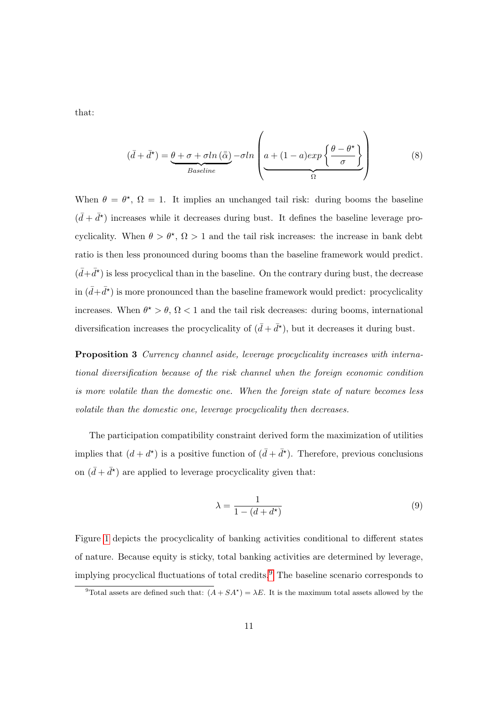that:

<span id="page-13-0"></span>
$$
(\bar{d} + \bar{d}^{\star}) = \underbrace{\theta + \sigma + \sigma \ln(\bar{\bar{\alpha}})}_{\text{Basicline}} - \sigma \ln \left( a + (1 - a) \exp \left\{ \frac{\theta - \theta^{\star}}{\sigma} \right\} \right) \tag{8}
$$

When  $\theta = \theta^*$ ,  $\Omega = 1$ . It implies an unchanged tail risk: during booms the baseline  $(\bar{d} + \bar{d}^*)$  increases while it decreases during bust. It defines the baseline leverage procyclicality. When  $\theta > \theta^*$ ,  $\Omega > 1$  and the tail risk increases: the increase in bank debt ratio is then less pronounced during booms than the baseline framework would predict.  $(\bar{d} + \bar{d}^*)$  is less procyclical than in the baseline. On the contrary during bust, the decrease in  $(\bar{d} + \bar{d}^{\star})$  is more pronounced than the baseline framework would predict: procyclicality increases. When  $\theta^* > \theta$ ,  $\Omega < 1$  and the tail risk decreases: during booms, international diversification increases the procyclicality of  $(\bar{d} + \bar{d}^{\star})$ , but it decreases it during bust.

Proposition 3 Currency channel aside, leverage procyclicality increases with international diversification because of the risk channel when the foreign economic condition is more volatile than the domestic one. When the foreign state of nature becomes less volatile than the domestic one, leverage procyclicality then decreases.

The participation compatibility constraint derived form the maximization of utilities implies that  $(d + d^*)$  is a positive function of  $(\bar{d} + \bar{d}^*)$ . Therefore, previous conclusions on  $(\bar{d} + \bar{d}^*)$  are applied to leverage procyclicality given that:

$$
\lambda = \frac{1}{1 - (d + d^*)} \tag{9}
$$

Figure [1](#page-33-0) depicts the procyclicality of banking activities conditional to different states of nature. Because equity is sticky, total banking activities are determined by leverage, implying procyclical fluctuations of total credits.[9](#page--1-0) The baseline scenario corresponds to

<sup>&</sup>lt;sup>9</sup>Total assets are defined such that:  $(A + SA^*) = \lambda E$ . It is the maximum total assets allowed by the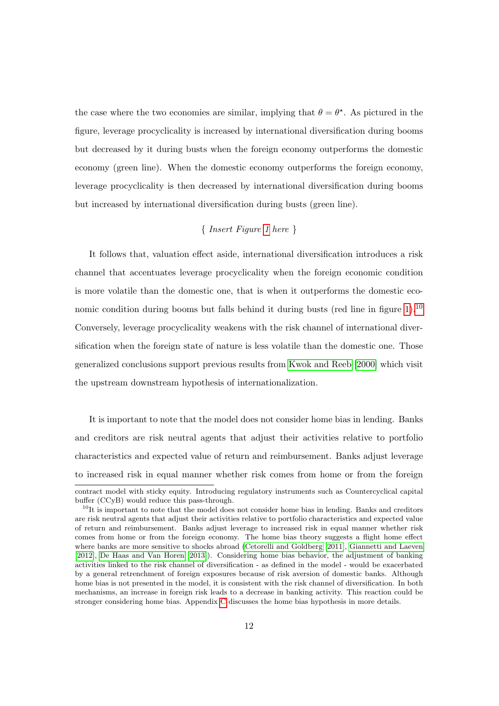the case where the two economies are similar, implying that  $\theta = \theta^*$ . As pictured in the figure, leverage procyclicality is increased by international diversification during booms but decreased by it during busts when the foreign economy outperforms the domestic economy (green line). When the domestic economy outperforms the foreign economy, leverage procyclicality is then decreased by international diversification during booms but increased by international diversification during busts (green line).

#### { Insert Figure [1](#page-33-0) here }

It follows that, valuation effect aside, international diversification introduces a risk channel that accentuates leverage procyclicality when the foreign economic condition is more volatile than the domestic one, that is when it outperforms the domestic eco-nomic condition during booms but falls behind it during busts (red line in figure [1\)](#page-33-0).<sup>[10](#page--1-0)</sup> Conversely, leverage procyclicality weakens with the risk channel of international diversification when the foreign state of nature is less volatile than the domestic one. Those generalized conclusions support previous results from [Kwok and Reeb](#page-31-5) [\[2000\]](#page-31-5) which visit the upstream downstream hypothesis of internationalization.

It is important to note that the model does not consider home bias in lending. Banks and creditors are risk neutral agents that adjust their activities relative to portfolio characteristics and expected value of return and reimbursement. Banks adjust leverage to increased risk in equal manner whether risk comes from home or from the foreign contract model with sticky equity. Introducing regulatory instruments such as Countercyclical capital

buffer (CCyB) would reduce this pass-through.

 $10$ It is important to note that the model does not consider home bias in lending. Banks and creditors are risk neutral agents that adjust their activities relative to portfolio characteristics and expected value of return and reimbursement. Banks adjust leverage to increased risk in equal manner whether risk comes from home or from the foreign economy. The home bias theory suggests a flight home effect where banks are more sensitive to shocks abroad [\(Cetorelli and Goldberg](#page-30-12) [\[2011\]](#page-30-12), [Giannetti and Laeven](#page-31-9) [\[2012\]](#page-31-9), [De Haas and Van Horen](#page-31-10) [\[2013\]](#page-31-10)). Considering home bias behavior, the adjustment of banking activities linked to the risk channel of diversification - as defined in the model - would be exacerbated by a general retrenchment of foreign exposures because of risk aversion of domestic banks. Although home bias is not presented in the model, it is consistent with the risk channel of diversification. In both mechanisms, an increase in foreign risk leads to a decrease in banking activity. This reaction could be stronger considering home bias. Appendix [C](#page-46-0) discusses the home bias hypothesis in more details.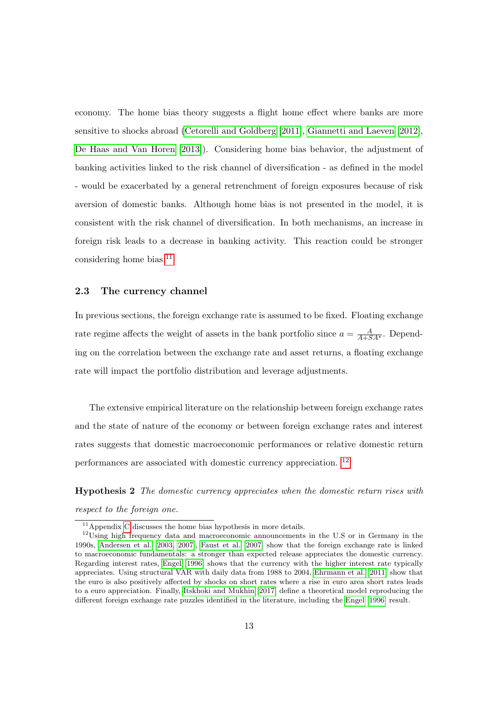economy. The home bias theory suggests a flight home effect where banks are more sensitive to shocks abroad [\(Cetorelli and Goldberg](#page-30-12) [\[2011\]](#page-30-12), [Giannetti and Laeven](#page-31-9) [\[2012\]](#page-31-9), [De Haas and Van Horen](#page-31-10) [\[2013\]](#page-31-10)). Considering home bias behavior, the adjustment of banking activities linked to the risk channel of diversification - as defined in the model - would be exacerbated by a general retrenchment of foreign exposures because of risk aversion of domestic banks. Although home bias is not presented in the model, it is consistent with the risk channel of diversification. In both mechanisms, an increase in foreign risk leads to a decrease in banking activity. This reaction could be stronger considering home bias.[11](#page--1-0)

#### 2.3 The currency channel

In previous sections, the foreign exchange rate is assumed to be fixed. Floating exchange rate regime affects the weight of assets in the bank portfolio since  $a = \frac{A}{A+S}A^*$ . Depending on the correlation between the exchange rate and asset returns, a floating exchange rate will impact the portfolio distribution and leverage adjustments.

The extensive empirical literature on the relationship between foreign exchange rates and the state of nature of the economy or between foreign exchange rates and interest rates suggests that domestic macroeconomic performances or relative domestic return performances are associated with domestic currency appreciation. [12](#page--1-0)

Hypothesis 2 The domestic currency appreciates when the domestic return rises with respect to the foreign one.

 $\overline{^{11}$ Appendix [C](#page-46-0) discusses the home bias hypothesis in more details.

<sup>&</sup>lt;sup>12</sup>Using high frequency data and macroeconomic announcements in the U.S or in Germany in the 1990s, [Andersen et al.](#page-30-13) [\[2003,](#page-30-13) [2007\]](#page-30-14), [Faust et al.](#page-31-11) [\[2007\]](#page-31-11) show that the foreign exchange rate is linked to macroeconomic fundamentals: a stronger than expected release appreciates the domestic currency. Regarding interest rates, [Engel](#page-31-12) [\[1996\]](#page-31-12) shows that the currency with the higher interest rate typically appreciates. Using structural VAR with daily data from 1988 to 2004, [Ehrmann et al.](#page-31-13) [\[2011\]](#page-31-13) show that the euro is also positively affected by shocks on short rates where a rise in euro area short rates leads to a euro appreciation. Finally, [Itskhoki and Mukhin](#page-31-14) [\[2017\]](#page-31-14) define a theoretical model reproducing the different foreign exchange rate puzzles identified in the literature, including the [Engel](#page-31-12) [\[1996\]](#page-31-12) result.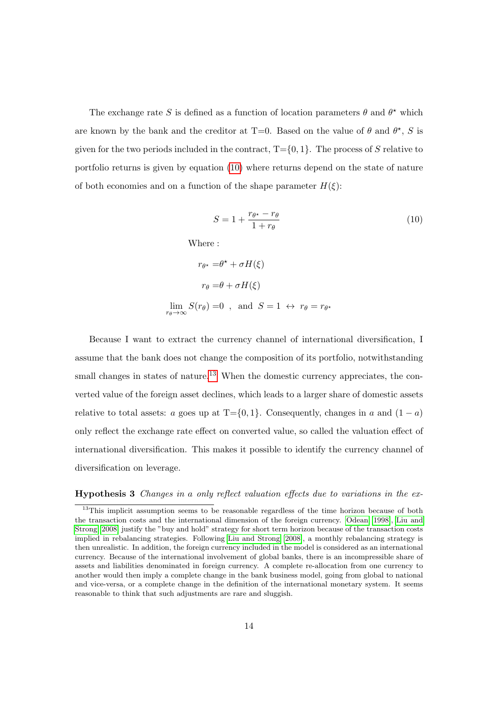The exchange rate S is defined as a function of location parameters  $\theta$  and  $\theta^*$  which are known by the bank and the creditor at T=0. Based on the value of  $\theta$  and  $\theta^*$ , S is given for the two periods included in the contract,  $T = \{0, 1\}$ . The process of S relative to portfolio returns is given by equation [\(10\)](#page-16-0) where returns depend on the state of nature of both economies and on a function of the shape parameter  $H(\xi)$ :

<span id="page-16-0"></span>
$$
S = 1 + \frac{r_{\theta^*} - r_{\theta}}{1 + r_{\theta}} \tag{10}
$$

Where :

$$
r_{\theta^*} = \theta^* + \sigma H(\xi)
$$
  

$$
r_{\theta} = \theta + \sigma H(\xi)
$$
  

$$
\lim_{r_{\theta} \to \infty} S(r_{\theta}) = 0 \quad \text{and} \quad S = 1 \iff r_{\theta} = r_{\theta^*}
$$

Because I want to extract the currency channel of international diversification, I assume that the bank does not change the composition of its portfolio, notwithstanding small changes in states of nature.<sup>[13](#page--1-0)</sup> When the domestic currency appreciates, the converted value of the foreign asset declines, which leads to a larger share of domestic assets relative to total assets: a goes up at T={0,1}. Consequently, changes in a and  $(1 - a)$ only reflect the exchange rate effect on converted value, so called the valuation effect of international diversification. This makes it possible to identify the currency channel of diversification on leverage.

#### Hypothesis 3 Changes in a only reflect valuation effects due to variations in the ex-

<sup>&</sup>lt;sup>13</sup>This implicit assumption seems to be reasonable regardless of the time horizon because of both the transaction costs and the international dimension of the foreign currency. [Odean](#page-32-7) [\[1998\]](#page-32-7), [Liu and](#page-31-15) [Strong](#page-31-15) [\[2008\]](#page-31-15) justify the "buy and hold" strategy for short term horizon because of the transaction costs implied in rebalancing strategies. Following [Liu and Strong](#page-31-15) [\[2008\]](#page-31-15), a monthly rebalancing strategy is then unrealistic. In addition, the foreign currency included in the model is considered as an international currency. Because of the international involvement of global banks, there is an incompressible share of assets and liabilities denominated in foreign currency. A complete re-allocation from one currency to another would then imply a complete change in the bank business model, going from global to national and vice-versa, or a complete change in the definition of the international monetary system. It seems reasonable to think that such adjustments are rare and sluggish.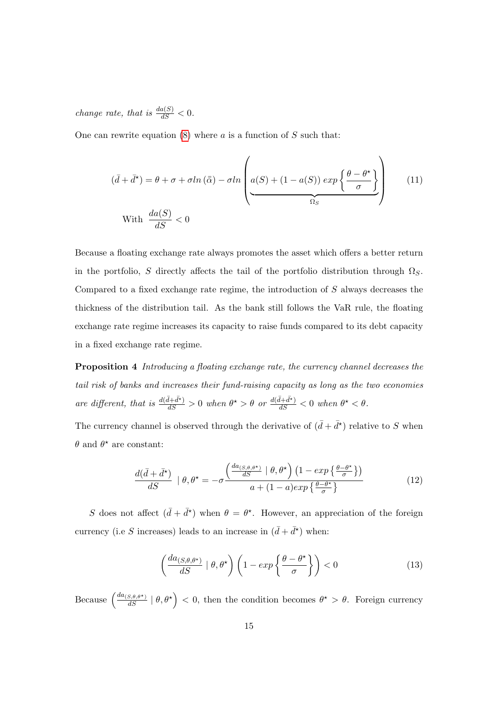change rate, that is  $\frac{da(S)}{dS} < 0$ .

One can rewrite equation  $(8)$  where a is a function of S such that:

$$
(\bar{d} + \bar{d}^{\star}) = \theta + \sigma + \sigma \ln(\bar{\bar{\alpha}}) - \sigma \ln\left(\frac{a(S) + (1 - a(S)) \exp\left\{\frac{\theta - \theta^{\star}}{\sigma}\right\}}{\Omega_S}\right) \tag{11}
$$

Because a floating exchange rate always promotes the asset which offers a better return in the portfolio, S directly affects the tail of the portfolio distribution through  $\Omega_S$ . Compared to a fixed exchange rate regime, the introduction of S always decreases the thickness of the distribution tail. As the bank still follows the VaR rule, the floating exchange rate regime increases its capacity to raise funds compared to its debt capacity in a fixed exchange rate regime.

Proposition 4 Introducing a floating exchange rate, the currency channel decreases the tail risk of banks and increases their fund-raising capacity as long as the two economies are different, that is  $\frac{d(\bar{d}+\bar{d}^*)}{dS} > 0$  when  $\theta^* > \theta$  or  $\frac{d(\bar{d}+\bar{d}^*)}{dS} < 0$  when  $\theta^* < \theta$ .

The currency channel is observed through the derivative of  $(\bar{d} + \bar{d}^{\star})$  relative to S when  $\theta$  and  $\theta^*$  are constant:

$$
\frac{d(\bar{d} + \bar{d}^{\star})}{dS} \mid \theta, \theta^{\star} = -\sigma \frac{\left(\frac{da_{(S, \theta, \theta^{\star})}}{dS} \mid \theta, \theta^{\star}\right) \left(1 - \exp\left\{\frac{\theta - \theta^{\star}}{\sigma}\right\}\right)}{a + (1 - a)\exp\left\{\frac{\theta - \theta^{\star}}{\sigma}\right\}}\tag{12}
$$

S does not affect  $(\bar{d} + \bar{d}^*)$  when  $\theta = \theta^*$ . However, an appreciation of the foreign currency (i.e S increases) leads to an increase in  $(\bar{d} + \bar{d}^{\star})$  when:

$$
\left(\frac{da_{(S,\theta,\theta^*)}}{dS} \mid \theta, \theta^*\right) \left(1 - \exp\left\{\frac{\theta - \theta^*}{\sigma}\right\}\right) < 0\tag{13}
$$

Because  $\left(\frac{da_{(S,\theta,\theta^*)}}{dS} \mid \theta, \theta^* \right) < 0$ , then the condition becomes  $\theta^* > \theta$ . Foreign currency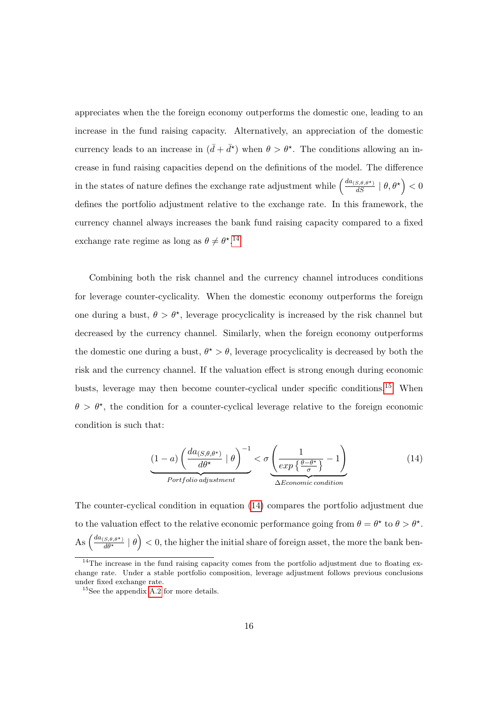appreciates when the the foreign economy outperforms the domestic one, leading to an increase in the fund raising capacity. Alternatively, an appreciation of the domestic currency leads to an increase in  $(\bar{d} + \bar{d}^*)$  when  $\theta > \theta^*$ . The conditions allowing an increase in fund raising capacities depend on the definitions of the model. The difference in the states of nature defines the exchange rate adjustment while  $\left(\frac{da_{(S,\theta,\theta^*)}}{dS} \mid \theta, \theta^* \right) < 0$ defines the portfolio adjustment relative to the exchange rate. In this framework, the currency channel always increases the bank fund raising capacity compared to a fixed exchange rate regime as long as  $\theta \neq \theta^{\star}$ .<sup>[14](#page--1-0)</sup>

Combining both the risk channel and the currency channel introduces conditions for leverage counter-cyclicality. When the domestic economy outperforms the foreign one during a bust,  $\theta > \theta^*$ , leverage procyclicality is increased by the risk channel but decreased by the currency channel. Similarly, when the foreign economy outperforms the domestic one during a bust,  $\theta^* > \theta$ , leverage procyclicality is decreased by both the risk and the currency channel. If the valuation effect is strong enough during economic busts, leverage may then become counter-cyclical under specific conditions.<sup>[15](#page--1-0)</sup> When  $\theta > \theta^*$ , the condition for a counter-cyclical leverage relative to the foreign economic condition is such that:

<span id="page-18-0"></span>
$$
\underbrace{(1-a)\left(\frac{da_{(S,\theta,\theta^{\star})}}{d\theta^{\star}}\mid\theta\right)^{-1}}_{Portbilo\ adjustment} < \sigma \underbrace{\left(\frac{1}{exp\left\{\frac{\theta-\theta^{\star}}{\sigma}\right\}}-1\right)}_{\Delta Economic\ condition}
$$
\n
$$
(14)
$$

The counter-cyclical condition in equation [\(14\)](#page-18-0) compares the portfolio adjustment due to the valuation effect to the relative economic performance going from  $\theta = \theta^*$  to  $\theta > \theta^*$ .  $\text{As} \left( \frac{da_{(S,\theta,\theta^*)}}{d\theta^*} \mid \theta \right) < 0$ , the higher the initial share of foreign asset, the more the bank ben-

 $14$ The increase in the fund raising capacity comes from the portfolio adjustment due to floating exchange rate. Under a stable portfolio composition, leverage adjustment follows previous conclusions under fixed exchange rate.

<sup>&</sup>lt;sup>15</sup>See the appendix [A.2](#page-39-0) for more details.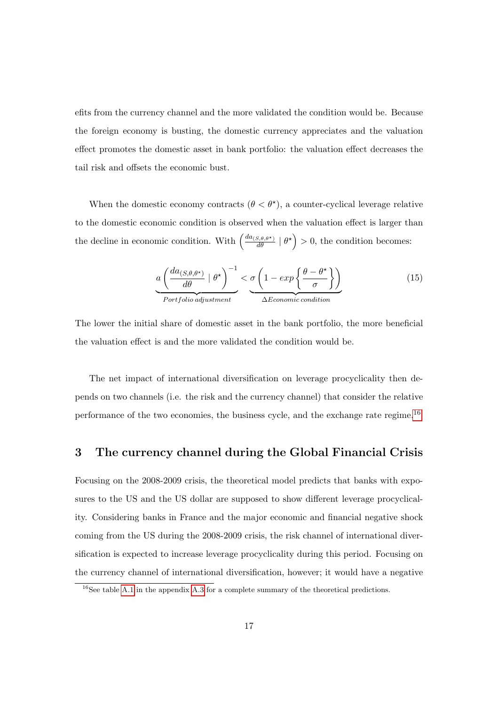efits from the currency channel and the more validated the condition would be. Because the foreign economy is busting, the domestic currency appreciates and the valuation effect promotes the domestic asset in bank portfolio: the valuation effect decreases the tail risk and offsets the economic bust.

When the domestic economy contracts  $(\theta < \theta^*)$ , a counter-cyclical leverage relative to the domestic economic condition is observed when the valuation effect is larger than the decline in economic condition. With  $\left(\frac{da_{(S,\theta,\theta^*)}}{d\theta} \mid \theta^*\right) > 0$ , the condition becomes:

$$
a\left(\frac{da_{(S,\theta,\theta^*)}}{d\theta} \mid \theta^{\star}\right)^{-1} < \underbrace{\sigma\left(1 - exp\left\{\frac{\theta - \theta^{\star}}{\sigma}\right\}\right)}_{\Delta Economic\ condition}
$$
(15)

The lower the initial share of domestic asset in the bank portfolio, the more beneficial the valuation effect is and the more validated the condition would be.

The net impact of international diversification on leverage procyclicality then depends on two channels (i.e. the risk and the currency channel) that consider the relative performance of the two economies, the business cycle, and the exchange rate regime.[16](#page--1-0)

### 3 The currency channel during the Global Financial Crisis

Focusing on the 2008-2009 crisis, the theoretical model predicts that banks with exposures to the US and the US dollar are supposed to show different leverage procyclicality. Considering banks in France and the major economic and financial negative shock coming from the US during the 2008-2009 crisis, the risk channel of international diversification is expected to increase leverage procyclicality during this period. Focusing on the currency channel of international diversification, however; it would have a negative

<sup>&</sup>lt;sup>16</sup>See table [A.1](#page-45-0) in the appendix [A.3](#page-42-0) for a complete summary of the theoretical predictions.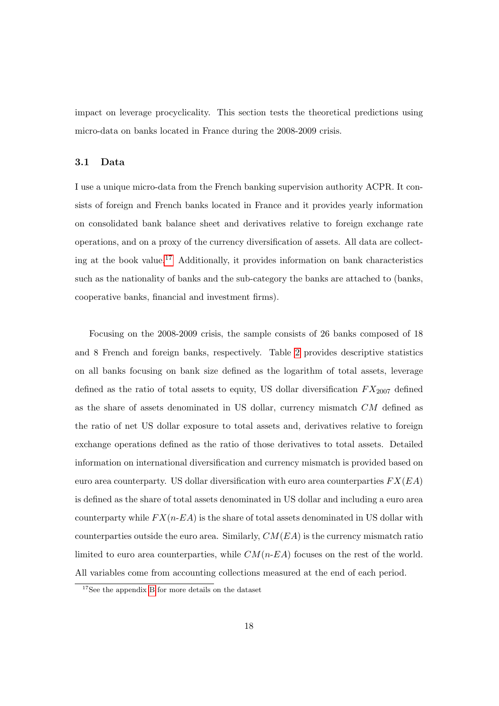impact on leverage procyclicality. This section tests the theoretical predictions using micro-data on banks located in France during the 2008-2009 crisis.

#### 3.1 Data

I use a unique micro-data from the French banking supervision authority ACPR. It consists of foreign and French banks located in France and it provides yearly information on consolidated bank balance sheet and derivatives relative to foreign exchange rate operations, and on a proxy of the currency diversification of assets. All data are collect-ing at the book value.<sup>[17](#page--1-0)</sup> Additionally, it provides information on bank characteristics such as the nationality of banks and the sub-category the banks are attached to (banks, cooperative banks, financial and investment firms).

Focusing on the 2008-2009 crisis, the sample consists of 26 banks composed of 18 and 8 French and foreign banks, respectively. Table [2](#page-34-0) provides descriptive statistics on all banks focusing on bank size defined as the logarithm of total assets, leverage defined as the ratio of total assets to equity, US dollar diversification  $FX_{2007}$  defined as the share of assets denominated in US dollar, currency mismatch CM defined as the ratio of net US dollar exposure to total assets and, derivatives relative to foreign exchange operations defined as the ratio of those derivatives to total assets. Detailed information on international diversification and currency mismatch is provided based on euro area counterparty. US dollar diversification with euro area counterparties  $FX(EA)$ is defined as the share of total assets denominated in US dollar and including a euro area counterparty while  $FX(n-EA)$  is the share of total assets denominated in US dollar with counterparties outside the euro area. Similarly,  $CM(EA)$  is the currency mismatch ratio limited to euro area counterparties, while  $CM(n-EA)$  focuses on the rest of the world. All variables come from accounting collections measured at the end of each period.

<sup>17</sup>See the appendix [B](#page-46-1) for more details on the dataset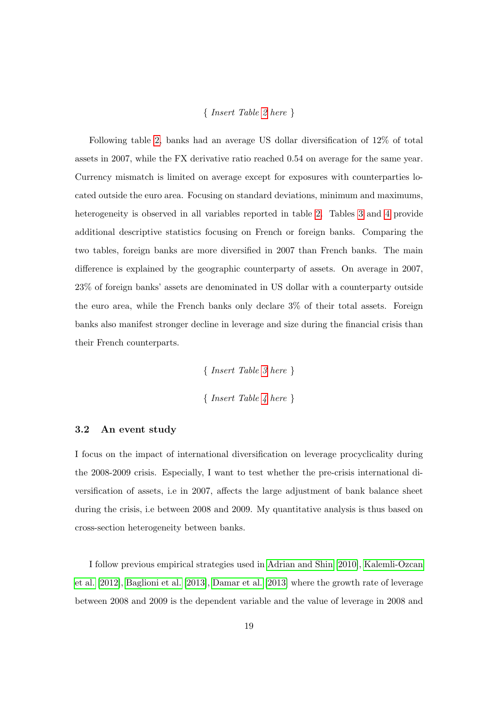#### { Insert Table [2](#page-34-0) here }

Following table [2,](#page-34-0) banks had an average US dollar diversification of 12% of total assets in 2007, while the FX derivative ratio reached 0.54 on average for the same year. Currency mismatch is limited on average except for exposures with counterparties located outside the euro area. Focusing on standard deviations, minimum and maximums, heterogeneity is observed in all variables reported in table [2.](#page-34-0) Tables [3](#page-34-1) and [4](#page-34-2) provide additional descriptive statistics focusing on French or foreign banks. Comparing the two tables, foreign banks are more diversified in 2007 than French banks. The main difference is explained by the geographic counterparty of assets. On average in 2007, 23% of foreign banks' assets are denominated in US dollar with a counterparty outside the euro area, while the French banks only declare 3% of their total assets. Foreign banks also manifest stronger decline in leverage and size during the financial crisis than their French counterparts.

> { Insert Table [3](#page-34-1) here } { Insert Table [4](#page-34-2) here }

#### 3.2 An event study

I focus on the impact of international diversification on leverage procyclicality during the 2008-2009 crisis. Especially, I want to test whether the pre-crisis international diversification of assets, i.e in 2007, affects the large adjustment of bank balance sheet during the crisis, i.e between 2008 and 2009. My quantitative analysis is thus based on cross-section heterogeneity between banks.

I follow previous empirical strategies used in [Adrian and Shin](#page-30-1) [\[2010\]](#page-30-1), [Kalemli-Ozcan](#page-31-2) [et al.](#page-31-2) [\[2012\]](#page-31-2), [Baglioni et al.](#page-30-4) [\[2013\]](#page-30-4), [Damar et al.](#page-30-5) [\[2013\]](#page-30-5) where the growth rate of leverage between 2008 and 2009 is the dependent variable and the value of leverage in 2008 and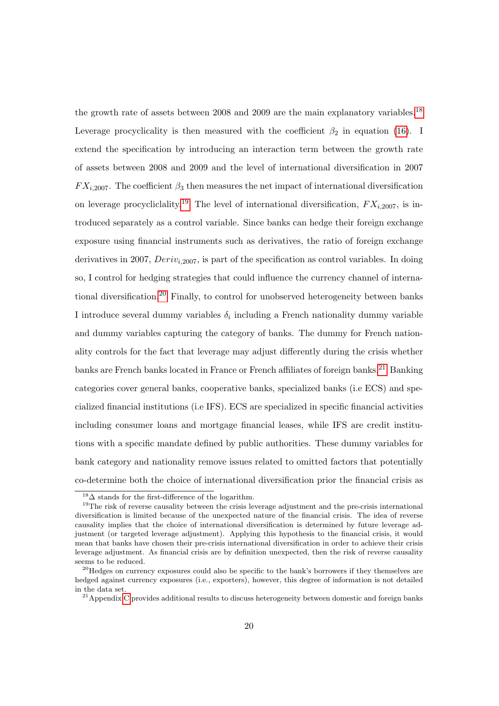the growth rate of assets between 2008 and 2009 are the main explanatory variables.<sup>[18](#page--1-0)</sup> Leverage procyclicality is then measured with the coefficient  $\beta_2$  in equation [\(16\)](#page-23-0). I extend the specification by introducing an interaction term between the growth rate of assets between 2008 and 2009 and the level of international diversification in 2007  $FX_{i,2007}$ . The coefficient  $\beta_3$  then measures the net impact of international diversification on leverage procycliclality.<sup>[19](#page--1-0)</sup> The level of international diversification,  $FX_{i,2007}$ , is introduced separately as a control variable. Since banks can hedge their foreign exchange exposure using financial instruments such as derivatives, the ratio of foreign exchange derivatives in 2007,  $Deriv_{i,2007}$ , is part of the specification as control variables. In doing so, I control for hedging strategies that could influence the currency channel of international diversification.[20](#page--1-0) Finally, to control for unobserved heterogeneity between banks I introduce several dummy variables  $\delta_i$  including a French nationality dummy variable and dummy variables capturing the category of banks. The dummy for French nationality controls for the fact that leverage may adjust differently during the crisis whether banks are French banks located in France or French affiliates of foreign banks.<sup>[21](#page--1-0)</sup> Banking categories cover general banks, cooperative banks, specialized banks (i.e ECS) and specialized financial institutions (i.e IFS). ECS are specialized in specific financial activities including consumer loans and mortgage financial leases, while IFS are credit institutions with a specific mandate defined by public authorities. These dummy variables for bank category and nationality remove issues related to omitted factors that potentially co-determine both the choice of international diversification prior the financial crisis as

 $18\overline{\Delta}$  stands for the first-difference of the logarithm.

<sup>&</sup>lt;sup>19</sup>The risk of reverse causality between the crisis leverage adjustment and the pre-crisis international diversification is limited because of the unexpected nature of the financial crisis. The idea of reverse causality implies that the choice of international diversification is determined by future leverage adjustment (or targeted leverage adjustment). Applying this hypothesis to the financial crisis, it would mean that banks have chosen their pre-crisis international diversification in order to achieve their crisis leverage adjustment. As financial crisis are by definition unexpected, then the risk of reverse causality seems to be reduced.

 $^{20}$ Hedges on currency exposures could also be specific to the bank's borrowers if they themselves are hedged against currency exposures (i.e., exporters), however, this degree of information is not detailed in the data set.

 $^{21}$ Appendix [C](#page-46-0) provides additional results to discuss heterogeneity between domestic and foreign banks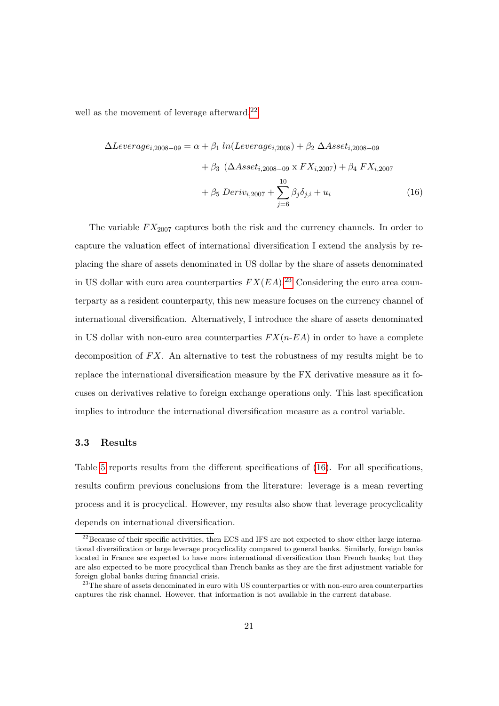well as the movement of leverage afterward.<sup>[22](#page--1-0)</sup>

 $\Delta Leverage_{i,2008-09} = \alpha + \beta_1 ln(Leverage_{i,2008}) + \beta_2 \Delta Asset_{i,2008-09}$ 

<span id="page-23-0"></span>
$$
+ \beta_3 \left( \Delta Asset_{i,2008-09} \times FX_{i,2007} \right) + \beta_4 FX_{i,2007} + \beta_5 Deriv_{i,2007} + \sum_{j=6}^{10} \beta_j \delta_{j,i} + u_i
$$
 (16)

The variable  $FX_{2007}$  captures both the risk and the currency channels. In order to capture the valuation effect of international diversification I extend the analysis by replacing the share of assets denominated in US dollar by the share of assets denominated in US dollar with euro area counterparties  $FX(EA)^{23}$  $FX(EA)^{23}$  $FX(EA)^{23}$  Considering the euro area counterparty as a resident counterparty, this new measure focuses on the currency channel of international diversification. Alternatively, I introduce the share of assets denominated in US dollar with non-euro area counterparties  $FX(n-EA)$  in order to have a complete decomposition of  $FX$ . An alternative to test the robustness of my results might be to replace the international diversification measure by the FX derivative measure as it focuses on derivatives relative to foreign exchange operations only. This last specification implies to introduce the international diversification measure as a control variable.

#### 3.3 Results

Table [5](#page-35-0) reports results from the different specifications of [\(16\)](#page-23-0). For all specifications, results confirm previous conclusions from the literature: leverage is a mean reverting process and it is procyclical. However, my results also show that leverage procyclicality depends on international diversification.

<sup>&</sup>lt;sup>22</sup>Because of their specific activities, then ECS and IFS are not expected to show either large international diversification or large leverage procyclicality compared to general banks. Similarly, foreign banks located in France are expected to have more international diversification than French banks; but they are also expected to be more procyclical than French banks as they are the first adjustment variable for foreign global banks during financial crisis.

 $23$ The share of assets denominated in euro with US counterparties or with non-euro area counterparties captures the risk channel. However, that information is not available in the current database.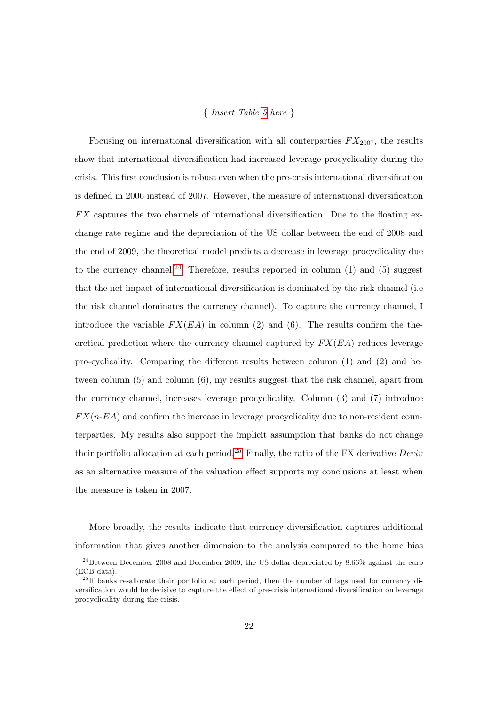#### { Insert Table [5](#page-35-0) here }

Focusing on international diversification with all conterparties  $FX_{2007}$ , the results show that international diversification had increased leverage procyclicality during the crisis. This first conclusion is robust even when the pre-crisis international diversification is defined in 2006 instead of 2007. However, the measure of international diversification  $FX$  captures the two channels of international diversification. Due to the floating exchange rate regime and the depreciation of the US dollar between the end of 2008 and the end of 2009, the theoretical model predicts a decrease in leverage procyclicality due to the currency channel.<sup>[24](#page--1-0)</sup> Therefore, results reported in column  $(1)$  and  $(5)$  suggest that the net impact of international diversification is dominated by the risk channel (i.e the risk channel dominates the currency channel). To capture the currency channel, I introduce the variable  $FX(EA)$  in column (2) and (6). The results confirm the theoretical prediction where the currency channel captured by  $FX(EA)$  reduces leverage pro-cyclicality. Comparing the different results between column (1) and (2) and between column (5) and column (6), my results suggest that the risk channel, apart from the currency channel, increases leverage procyclicality. Column (3) and (7) introduce  $FX(n-EA)$  and confirm the increase in leverage procyclicality due to non-resident counterparties. My results also support the implicit assumption that banks do not change their portfolio allocation at each period.<sup>[25](#page--1-0)</sup> Finally, the ratio of the FX derivative  $Deriv$ as an alternative measure of the valuation effect supports my conclusions at least when the measure is taken in 2007.

More broadly, the results indicate that currency diversification captures additional information that gives another dimension to the analysis compared to the home bias

 $^{24}$ Between December 2008 and December 2009, the US dollar depreciated by 8.66% against the euro (ECB data).

 $^{25}$ If banks re-allocate their portfolio at each period, then the number of lags used for currency diversification would be decisive to capture the effect of pre-crisis international diversification on leverage procyclicality during the crisis.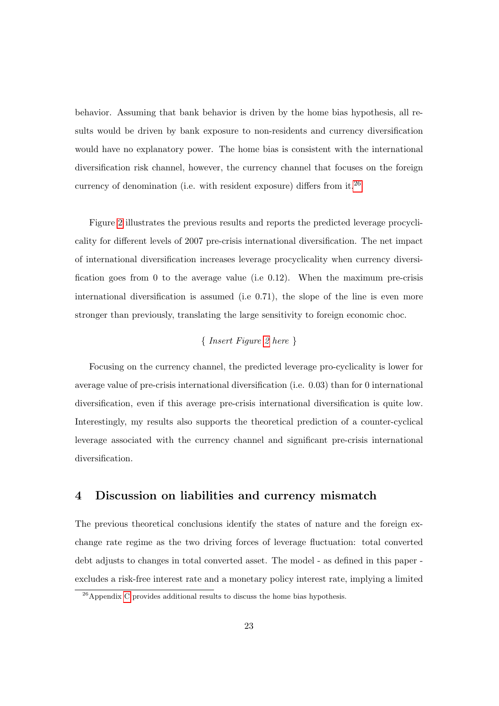behavior. Assuming that bank behavior is driven by the home bias hypothesis, all results would be driven by bank exposure to non-residents and currency diversification would have no explanatory power. The home bias is consistent with the international diversification risk channel, however, the currency channel that focuses on the foreign currency of denomination (i.e. with resident exposure) differs from it.<sup>[26](#page--1-0)</sup>

Figure [2](#page-33-1) illustrates the previous results and reports the predicted leverage procyclicality for different levels of 2007 pre-crisis international diversification. The net impact of international diversification increases leverage procyclicality when currency diversification goes from 0 to the average value (i.e 0.12). When the maximum pre-crisis international diversification is assumed (i.e 0.71), the slope of the line is even more stronger than previously, translating the large sensitivity to foreign economic choc.

#### { Insert Figure [2](#page-33-1) here }

Focusing on the currency channel, the predicted leverage pro-cyclicality is lower for average value of pre-crisis international diversification (i.e. 0.03) than for 0 international diversification, even if this average pre-crisis international diversification is quite low. Interestingly, my results also supports the theoretical prediction of a counter-cyclical leverage associated with the currency channel and significant pre-crisis international diversification.

#### 4 Discussion on liabilities and currency mismatch

The previous theoretical conclusions identify the states of nature and the foreign exchange rate regime as the two driving forces of leverage fluctuation: total converted debt adjusts to changes in total converted asset. The model - as defined in this paper excludes a risk-free interest rate and a monetary policy interest rate, implying a limited

 $26$ Appendix [C](#page-46-0) provides additional results to discuss the home bias hypothesis.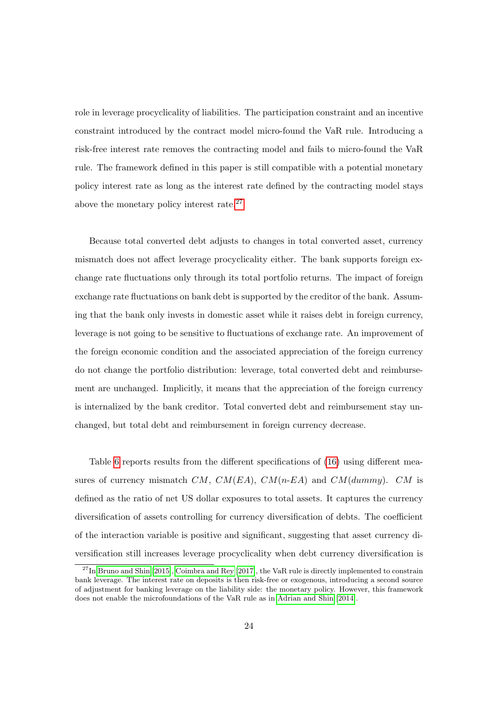role in leverage procyclicality of liabilities. The participation constraint and an incentive constraint introduced by the contract model micro-found the VaR rule. Introducing a risk-free interest rate removes the contracting model and fails to micro-found the VaR rule. The framework defined in this paper is still compatible with a potential monetary policy interest rate as long as the interest rate defined by the contracting model stays above the monetary policy interest rate.<sup>[27](#page--1-0)</sup>

Because total converted debt adjusts to changes in total converted asset, currency mismatch does not affect leverage procyclicality either. The bank supports foreign exchange rate fluctuations only through its total portfolio returns. The impact of foreign exchange rate fluctuations on bank debt is supported by the creditor of the bank. Assuming that the bank only invests in domestic asset while it raises debt in foreign currency, leverage is not going to be sensitive to fluctuations of exchange rate. An improvement of the foreign economic condition and the associated appreciation of the foreign currency do not change the portfolio distribution: leverage, total converted debt and reimbursement are unchanged. Implicitly, it means that the appreciation of the foreign currency is internalized by the bank creditor. Total converted debt and reimbursement stay unchanged, but total debt and reimbursement in foreign currency decrease.

Table [6](#page-36-0) reports results from the different specifications of [\(16\)](#page-23-0) using different measures of currency mismatch  $CM$ ,  $CM(EA)$ ,  $CM(n-EA)$  and  $CM(dummy)$ .  $CM$  is defined as the ratio of net US dollar exposures to total assets. It captures the currency diversification of assets controlling for currency diversification of debts. The coefficient of the interaction variable is positive and significant, suggesting that asset currency diversification still increases leverage procyclicality when debt currency diversification is

 $^{27}$ In [Bruno and Shin](#page-30-6) [\[2015\]](#page-30-6), [Coimbra and Rey](#page-30-7) [\[2017\]](#page-30-7), the VaR rule is directly implemented to constrain bank leverage. The interest rate on deposits is then risk-free or exogenous, introducing a second source of adjustment for banking leverage on the liability side: the monetary policy. However, this framework does not enable the microfoundations of the VaR rule as in [Adrian and Shin](#page-30-0) [\[2014\]](#page-30-0).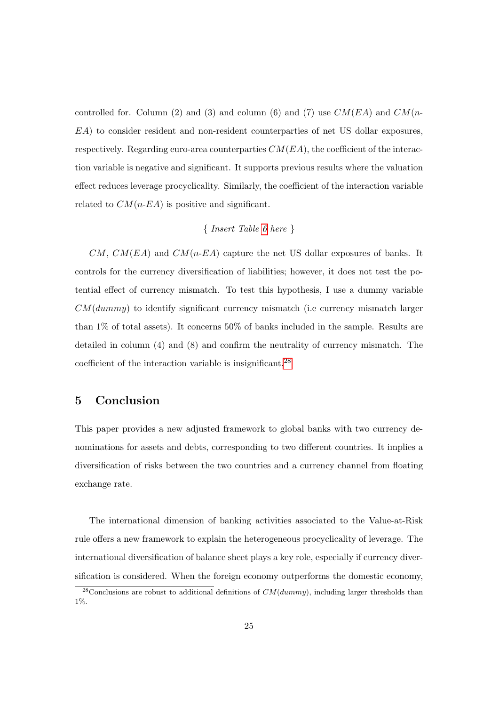controlled for. Column (2) and (3) and column (6) and (7) use  $CM(EA)$  and  $CM(n-$ EA) to consider resident and non-resident counterparties of net US dollar exposures, respectively. Regarding euro-area counterparties  $CM(EA)$ , the coefficient of the interaction variable is negative and significant. It supports previous results where the valuation effect reduces leverage procyclicality. Similarly, the coefficient of the interaction variable related to  $CM(n-EA)$  is positive and significant.

#### { Insert Table [6](#page-36-0) here }

 $CM, CM(EA)$  and  $CM(n-EA)$  capture the net US dollar exposures of banks. It controls for the currency diversification of liabilities; however, it does not test the potential effect of currency mismatch. To test this hypothesis, I use a dummy variable  $CM(dummy)$  to identify significant currency mismatch (i.e currency mismatch larger than 1% of total assets). It concerns 50% of banks included in the sample. Results are detailed in column (4) and (8) and confirm the neutrality of currency mismatch. The coefficient of the interaction variable is insignificant.[28](#page--1-0)

### 5 Conclusion

This paper provides a new adjusted framework to global banks with two currency denominations for assets and debts, corresponding to two different countries. It implies a diversification of risks between the two countries and a currency channel from floating exchange rate.

The international dimension of banking activities associated to the Value-at-Risk rule offers a new framework to explain the heterogeneous procyclicality of leverage. The international diversification of balance sheet plays a key role, especially if currency diversification is considered. When the foreign economy outperforms the domestic economy,

<sup>&</sup>lt;sup>28</sup>Conclusions are robust to additional definitions of  $CM(dummy)$ , including larger thresholds than 1%.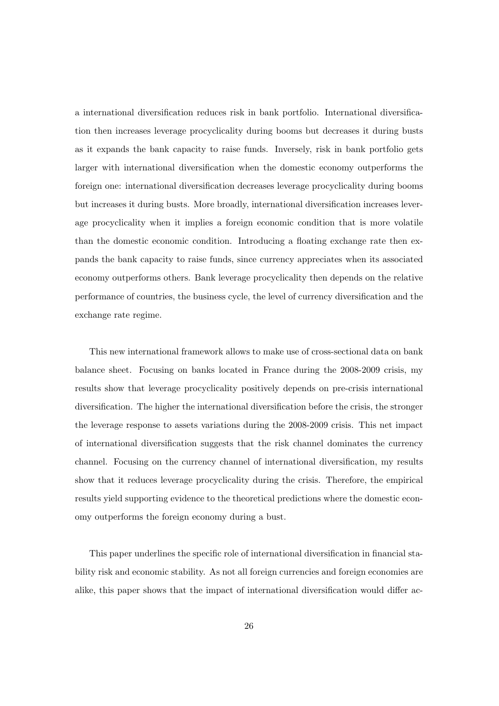a international diversification reduces risk in bank portfolio. International diversification then increases leverage procyclicality during booms but decreases it during busts as it expands the bank capacity to raise funds. Inversely, risk in bank portfolio gets larger with international diversification when the domestic economy outperforms the foreign one: international diversification decreases leverage procyclicality during booms but increases it during busts. More broadly, international diversification increases leverage procyclicality when it implies a foreign economic condition that is more volatile than the domestic economic condition. Introducing a floating exchange rate then expands the bank capacity to raise funds, since currency appreciates when its associated economy outperforms others. Bank leverage procyclicality then depends on the relative performance of countries, the business cycle, the level of currency diversification and the exchange rate regime.

This new international framework allows to make use of cross-sectional data on bank balance sheet. Focusing on banks located in France during the 2008-2009 crisis, my results show that leverage procyclicality positively depends on pre-crisis international diversification. The higher the international diversification before the crisis, the stronger the leverage response to assets variations during the 2008-2009 crisis. This net impact of international diversification suggests that the risk channel dominates the currency channel. Focusing on the currency channel of international diversification, my results show that it reduces leverage procyclicality during the crisis. Therefore, the empirical results yield supporting evidence to the theoretical predictions where the domestic economy outperforms the foreign economy during a bust.

This paper underlines the specific role of international diversification in financial stability risk and economic stability. As not all foreign currencies and foreign economies are alike, this paper shows that the impact of international diversification would differ ac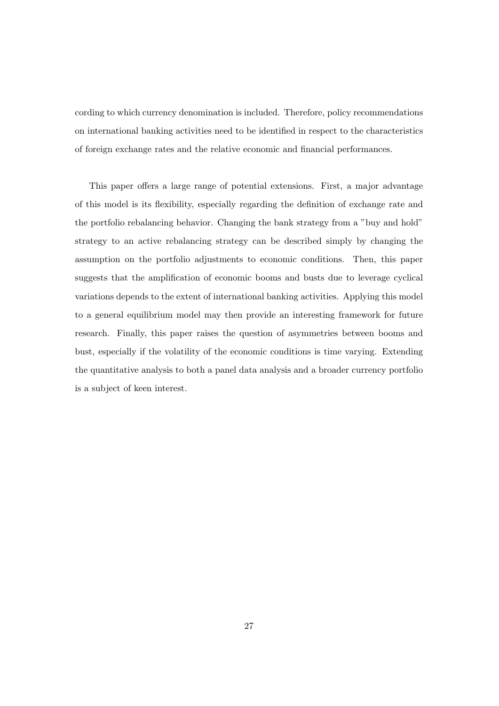cording to which currency denomination is included. Therefore, policy recommendations on international banking activities need to be identified in respect to the characteristics of foreign exchange rates and the relative economic and financial performances.

This paper offers a large range of potential extensions. First, a major advantage of this model is its flexibility, especially regarding the definition of exchange rate and the portfolio rebalancing behavior. Changing the bank strategy from a "buy and hold" strategy to an active rebalancing strategy can be described simply by changing the assumption on the portfolio adjustments to economic conditions. Then, this paper suggests that the amplification of economic booms and busts due to leverage cyclical variations depends to the extent of international banking activities. Applying this model to a general equilibrium model may then provide an interesting framework for future research. Finally, this paper raises the question of asymmetries between booms and bust, especially if the volatility of the economic conditions is time varying. Extending the quantitative analysis to both a panel data analysis and a broader currency portfolio is a subject of keen interest.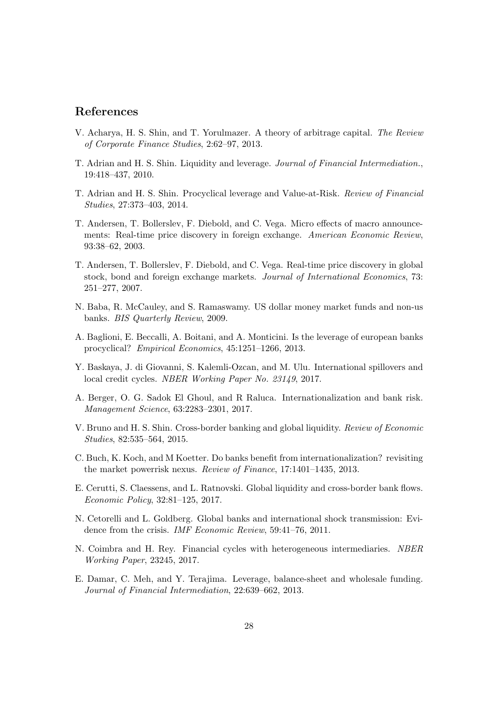#### References

- <span id="page-30-11"></span>V. Acharya, H. S. Shin, and T. Yorulmazer. A theory of arbitrage capital. The Review of Corporate Finance Studies, 2:62–97, 2013.
- <span id="page-30-1"></span>T. Adrian and H. S. Shin. Liquidity and leverage. Journal of Financial Intermediation., 19:418–437, 2010.
- <span id="page-30-0"></span>T. Adrian and H. S. Shin. Procyclical leverage and Value-at-Risk. Review of Financial Studies, 27:373–403, 2014.
- <span id="page-30-13"></span>T. Andersen, T. Bollerslev, F. Diebold, and C. Vega. Micro effects of macro announcements: Real-time price discovery in foreign exchange. American Economic Review, 93:38–62, 2003.
- <span id="page-30-14"></span>T. Andersen, T. Bollerslev, F. Diebold, and C. Vega. Real-time price discovery in global stock, bond and foreign exchange markets. Journal of International Economics, 73: 251–277, 2007.
- <span id="page-30-2"></span>N. Baba, R. McCauley, and S. Ramaswamy. US dollar money market funds and non-us banks. BIS Quarterly Review, 2009.
- <span id="page-30-4"></span>A. Baglioni, E. Beccalli, A. Boitani, and A. Monticini. Is the leverage of european banks procyclical? Empirical Economics, 45:1251–1266, 2013.
- <span id="page-30-8"></span>Y. Baskaya, J. di Giovanni, S. Kalemli-Ozcan, and M. Ulu. International spillovers and local credit cycles. NBER Working Paper No. 23149, 2017.
- <span id="page-30-10"></span>A. Berger, O. G. Sadok El Ghoul, and R Raluca. Internationalization and bank risk. Management Science, 63:2283–2301, 2017.
- <span id="page-30-6"></span>V. Bruno and H. S. Shin. Cross-border banking and global liquidity. Review of Economic Studies, 82:535–564, 2015.
- <span id="page-30-9"></span>C. Buch, K. Koch, and M Koetter. Do banks benefit from internationalization? revisiting the market powerrisk nexus. Review of Finance, 17:1401–1435, 2013.
- <span id="page-30-3"></span>E. Cerutti, S. Claessens, and L. Ratnovski. Global liquidity and cross-border bank flows. Economic Policy, 32:81–125, 2017.
- <span id="page-30-12"></span>N. Cetorelli and L. Goldberg. Global banks and international shock transmission: Evidence from the crisis. IMF Economic Review, 59:41–76, 2011.
- <span id="page-30-7"></span>N. Coimbra and H. Rey. Financial cycles with heterogeneous intermediaries. NBER Working Paper, 23245, 2017.
- <span id="page-30-5"></span>E. Damar, C. Meh, and Y. Terajima. Leverage, balance-sheet and wholesale funding. Journal of Financial Intermediation, 22:639–662, 2013.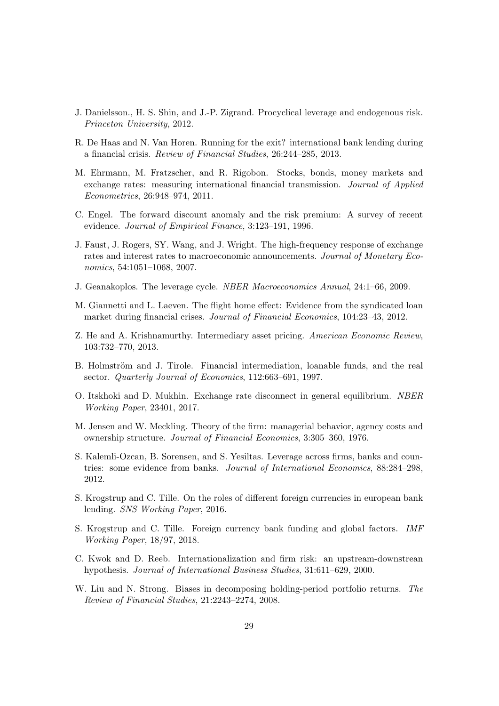- <span id="page-31-1"></span>J. Danielsson., H. S. Shin, and J.-P. Zigrand. Procyclical leverage and endogenous risk. Princeton University, 2012.
- <span id="page-31-10"></span>R. De Haas and N. Van Horen. Running for the exit? international bank lending during a financial crisis. Review of Financial Studies, 26:244–285, 2013.
- <span id="page-31-13"></span>M. Ehrmann, M. Fratzscher, and R. Rigobon. Stocks, bonds, money markets and exchange rates: measuring international financial transmission. Journal of Applied Econometrics, 26:948–974, 2011.
- <span id="page-31-12"></span>C. Engel. The forward discount anomaly and the risk premium: A survey of recent evidence. Journal of Empirical Finance, 3:123–191, 1996.
- <span id="page-31-11"></span>J. Faust, J. Rogers, SY. Wang, and J. Wright. The high-frequency response of exchange rates and interest rates to macroeconomic announcements. Journal of Monetary Economics, 54:1051–1068, 2007.
- <span id="page-31-0"></span>J. Geanakoplos. The leverage cycle. NBER Macroeconomics Annual, 24:1–66, 2009.
- <span id="page-31-9"></span>M. Giannetti and L. Laeven. The flight home effect: Evidence from the syndicated loan market during financial crises. Journal of Financial Economics, 104:23–43, 2012.
- <span id="page-31-8"></span>Z. He and A. Krishnamurthy. Intermediary asset pricing. American Economic Review, 103:732–770, 2013.
- <span id="page-31-4"></span>B. Holmström and J. Tirole. Financial intermediation, loanable funds, and the real sector. Quarterly Journal of Economics, 112:663–691, 1997.
- <span id="page-31-14"></span>O. Itskhoki and D. Mukhin. Exchange rate disconnect in general equilibrium. NBER Working Paper, 23401, 2017.
- <span id="page-31-7"></span>M. Jensen and W. Meckling. Theory of the firm: managerial behavior, agency costs and ownership structure. Journal of Financial Economics, 3:305–360, 1976.
- <span id="page-31-2"></span>S. Kalemli-Ozcan, B. Sorensen, and S. Yesiltas. Leverage across firms, banks and countries: some evidence from banks. Journal of International Economics, 88:284–298, 2012.
- <span id="page-31-3"></span>S. Krogstrup and C. Tille. On the roles of different foreign currencies in european bank lending. SNS Working Paper, 2016.
- <span id="page-31-6"></span>S. Krogstrup and C. Tille. Foreign currency bank funding and global factors. IMF Working Paper, 18/97, 2018.
- <span id="page-31-5"></span>C. Kwok and D. Reeb. Internationalization and firm risk: an upstream-downstrean hypothesis. Journal of International Business Studies, 31:611–629, 2000.
- <span id="page-31-15"></span>W. Liu and N. Strong. Biases in decomposing holding-period portfolio returns. The Review of Financial Studies, 21:2243–2274, 2008.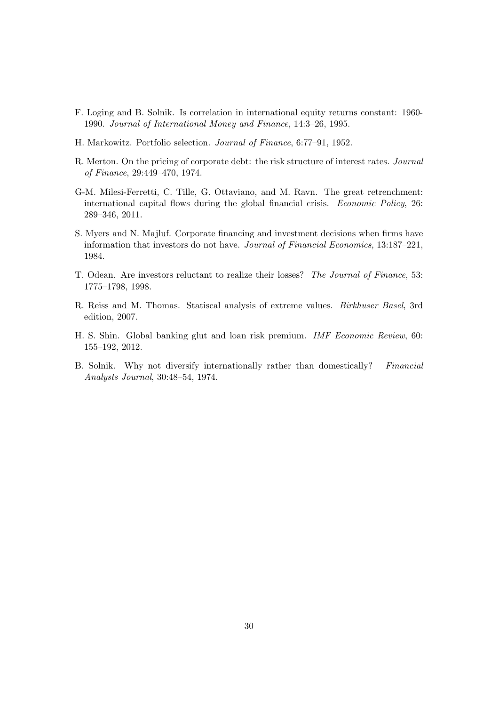- <span id="page-32-4"></span>F. Loging and B. Solnik. Is correlation in international equity returns constant: 1960- 1990. Journal of International Money and Finance, 14:3–26, 1995.
- <span id="page-32-2"></span>H. Markowitz. Portfolio selection. Journal of Finance, 6:77–91, 1952.
- <span id="page-32-8"></span>R. Merton. On the pricing of corporate debt: the risk structure of interest rates. Journal of Finance, 29:449–470, 1974.
- <span id="page-32-1"></span>G-M. Milesi-Ferretti, C. Tille, G. Ottaviano, and M. Ravn. The great retrenchment: international capital flows during the global financial crisis. Economic Policy, 26: 289–346, 2011.
- <span id="page-32-5"></span>S. Myers and N. Majluf. Corporate financing and investment decisions when firms have information that investors do not have. Journal of Financial Economics, 13:187–221, 1984.
- <span id="page-32-7"></span>T. Odean. Are investors reluctant to realize their losses? The Journal of Finance, 53: 1775–1798, 1998.
- <span id="page-32-6"></span>R. Reiss and M. Thomas. Statiscal analysis of extreme values. Birkhuser Basel, 3rd edition, 2007.
- <span id="page-32-0"></span>H. S. Shin. Global banking glut and loan risk premium. IMF Economic Review, 60: 155–192, 2012.
- <span id="page-32-3"></span>B. Solnik. Why not diversify internationally rather than domestically? Financial Analysts Journal, 30:48–54, 1974.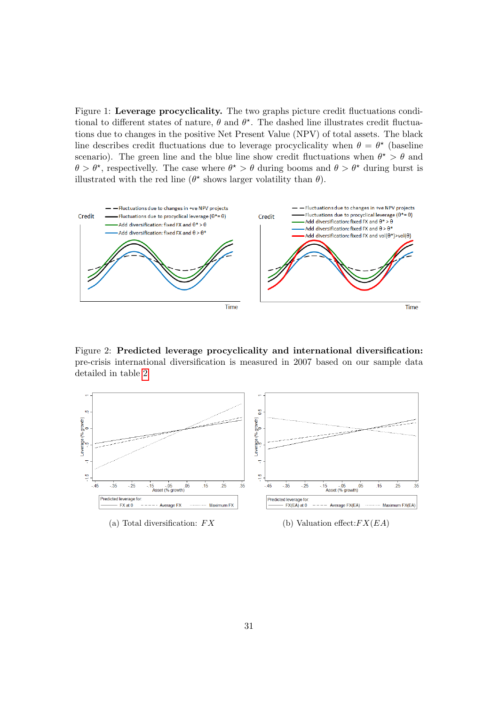<span id="page-33-0"></span>Figure 1: Leverage procyclicality. The two graphs picture credit fluctuations conditional to different states of nature,  $\theta$  and  $\theta^*$ . The dashed line illustrates credit fluctuations due to changes in the positive Net Present Value (NPV) of total assets. The black line describes credit fluctuations due to leverage procyclicality when  $\theta = \theta^*$  (baseline scenario). The green line and the blue line show credit fluctuations when  $\theta^* > \theta$  and  $\theta > \theta^*$ , respectivelly. The case where  $\theta^* > \theta$  during booms and  $\theta > \theta^*$  during burst is illustrated with the red line ( $\theta^*$  shows larger volatility than  $\theta$ ).



<span id="page-33-1"></span>Figure 2: Predicted leverage procyclicality and international diversification: pre-crisis international diversification is measured in 2007 based on our sample data detailed in table [2](#page-34-0)



(a) Total diversification:  $FX$  (b) Valuation effect: $FX(EA)$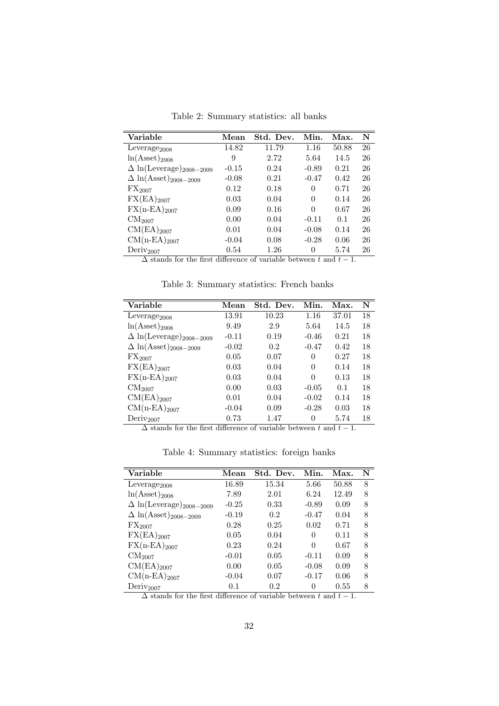<span id="page-34-0"></span>

| Variable                                   | Mean             | Std. Dev.      | Min.     | Max.  | N  |
|--------------------------------------------|------------------|----------------|----------|-------|----|
| Leverage $_{2008}$                         | 14.82            | 11.79          | 1.16     | 50.88 | 26 |
| $ln(A\text{sset})_{2008}$                  | 9                | 2.72           | 5.64     | 14.5  | 26 |
| $\Delta$ ln(Leverage) <sub>2008–2009</sub> | $-0.15$          | 0.24           | $-0.89$  | 0.21  | 26 |
| $\Delta\,\ln(\text{Asset})_{2008-2009}$    | $-0.08$          | 0.21           | $-0.47$  | 0.42  | 26 |
| $\text{FX}_{2007}$                         | 0.12             | 0.18           | $\theta$ | 0.71  | 26 |
| $\rm FX(EA)_{2007}$                        | 0.03             | 0.04           | 0        | 0.14  | 26 |
| $FX(n-EA)_{2007}$                          | 0.09             | 0.16           | $\Omega$ | 0.67  | 26 |
| CM <sub>2007</sub>                         | 0.00             | 0.04           | $-0.11$  | 0.1   | 26 |
| $CM(EA)_{2007}$                            | 0.01             | 0.04           | $-0.08$  | 0.14  | 26 |
| $CM(n-EA)_{2007}$                          | $-0.04$          | 0.08           | $-0.28$  | 0.06  | 26 |
| Deriv <sub>2007</sub><br>$\sim$<br>$\sim$  | 0.54<br>$\cdots$ | 1.26<br>$\sim$ | $\theta$ | 5.74  | 26 |

Table 2: Summary statistics: all banks

 $\Delta$  stands for the first difference of variable between t and  $t - 1$ .

<span id="page-34-1"></span>

| Variable                                  | Mean    | Std. Dev. | Min.     | Max.  | N  |
|-------------------------------------------|---------|-----------|----------|-------|----|
| Leverage <sub>2008</sub>                  | 13.91   | 10.23     | 1.16     | 37.01 | 18 |
| $ln(A\text{sset})_{2008}$                 | 9.49    | 2.9       | 5.64     | 14.5  | 18 |
| $\Delta \ln(\text{Leverage})_{2008-2009}$ | $-0.11$ | 0.19      | $-0.46$  | 0.21  | 18 |
| $\Delta \ln(\text{Asset})_{2008-2009}$    | $-0.02$ | 0.2       | $-0.47$  | 0.42  | 18 |
| $\text{FX}_{2007}$                        | 0.05    | 0.07      | $\theta$ | 0.27  | 18 |
| $\rm FX(EA)_{2007}$                       | 0.03    | 0.04      | $\theta$ | 0.14  | 18 |
| $FX(n-EA)_{2007}$                         | 0.03    | 0.04      | $\Omega$ | 0.13  | 18 |
| CM <sub>2007</sub>                        | 0.00    | 0.03      | $-0.05$  | 0.1   | 18 |
| $CM(EA)_{2007}$                           | 0.01    | 0.04      | $-0.02$  | 0.14  | 18 |

Table 3: Summary statistics: French banks

 $\begin{array}{ccccccccc} \rm CM(n-EA)_{2007} & & & -0.04 & & 0.09 & & -0.28 & 0.03 & 18 \\ \rm Deriv_{2007} & & & & 0.73 & & 1.47 & & 0 & & 5.74 & 18 \end{array}$ Deriv<sub>2007</sub> 0.73 1.47 0 5.74 18  $\Delta$  stands for the first difference of variable between t and  $t - 1$ .

<span id="page-34-2"></span>

| Variable                                   | Mean    | Std. Dev. | Min.     | Max.  | N |
|--------------------------------------------|---------|-----------|----------|-------|---|
| Leverage $_{2008}$                         | 16.89   | 15.34     | 5.66     | 50.88 | 8 |
| $ln(A\text{sset})_{2008}$                  | 7.89    | 2.01      | 6.24     | 12.49 | 8 |
| $\Delta$ ln(Leverage) <sub>2008–2009</sub> | $-0.25$ | 0.33      | $-0.89$  | 0.09  | 8 |
| $\Delta\,\ln(\text{Asset})_{2008-2009}$    | $-0.19$ | 0.2       | $-0.47$  | 0.04  | 8 |
| $\text{FX}_{2007}$                         | 0.28    | 0.25      | 0.02     | 0.71  | 8 |
| $FX(EA)_{2007}$                            | 0.05    | 0.04      | 0        | 0.11  | 8 |
| $FX(n-EA)_{2007}$                          | 0.23    | 0.24      | $\Omega$ | 0.67  | 8 |
| CM <sub>2007</sub>                         | $-0.01$ | 0.05      | $-0.11$  | 0.09  | 8 |
| $CM(EA)_{2007}$                            | 0.00    | 0.05      | $-0.08$  | 0.09  | 8 |
| $CM(n-EA)_{2007}$                          | $-0.04$ | 0.07      | $-0.17$  | 0.06  | 8 |
| $Deriv_{2007}$                             | 0.1     | 0.2       | 0        | 0.55  | 8 |

Table 4: Summary statistics: foreign banks

 $\Delta$  stands for the first difference of variable between t and  $t - 1$ .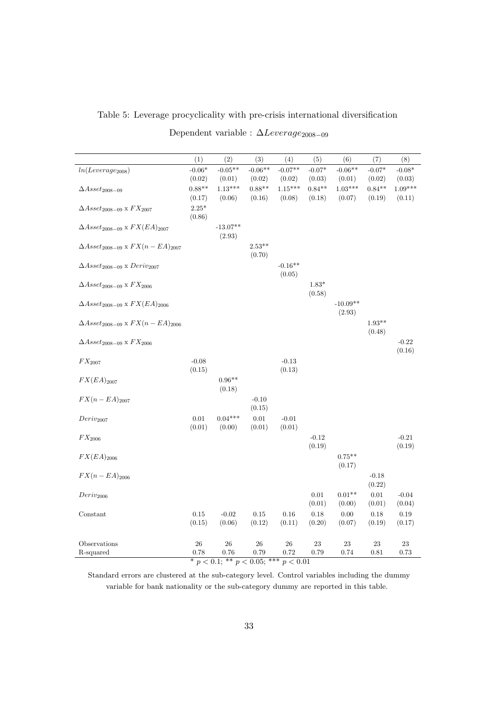<span id="page-35-0"></span>

|  |  |  |  | Table 5: Leverage procyclicality with pre-crisis international diversification |
|--|--|--|--|--------------------------------------------------------------------------------|
|  |  |  |  |                                                                                |

|  |  |  | Dependent variable : $\Delta Leverage_{2008-09}$ |
|--|--|--|--------------------------------------------------|
|--|--|--|--------------------------------------------------|

|                                                | (1)                | (2)                                                  | (3)                | (4)                 | (5)                | (6)                 | (7)                | (8)                 |
|------------------------------------------------|--------------------|------------------------------------------------------|--------------------|---------------------|--------------------|---------------------|--------------------|---------------------|
| $ln(Leverage_{2008})$                          | $-0.06*$           | $-0.05**$                                            | $-0.06**$          | $-0.07**$           | $-0.07*$           | $-0.06**$           | $-0.07*$           | $-0.08*$            |
|                                                | (0.02)             | (0.01)<br>$1.13***$                                  | (0.02)<br>$0.88**$ | (0.02)<br>$1.15***$ | (0.03)<br>$0.84**$ | (0.01)<br>$1.03***$ | (0.02)<br>$0.84**$ | (0.03)<br>$1.09***$ |
| $\Delta Asset_{2008-09}$                       | $0.88**$<br>(0.17) | (0.06)                                               | (0.16)             | (0.08)              | (0.18)             | (0.07)              | (0.19)             | (0.11)              |
| $\Delta Asset_{2008-09}$ x $FX_{2007}$         | $2.25^{\ast}$      |                                                      |                    |                     |                    |                     |                    |                     |
|                                                | (0.86)             |                                                      |                    |                     |                    |                     |                    |                     |
| $\Delta Asset_{2008-09}$ x $FX(EA)_{2007}$     |                    | $-13.07**$<br>(2.93)                                 |                    |                     |                    |                     |                    |                     |
| $\Delta Asset_{2008-09}$ x $FX(n - EA)_{2007}$ |                    |                                                      | $2.53**$           |                     |                    |                     |                    |                     |
|                                                |                    |                                                      | (0.70)             |                     |                    |                     |                    |                     |
| $\Delta Asset_{2008-09}$ x $Deriv_{2007}$      |                    |                                                      |                    | $-0.16**$<br>(0.05) |                    |                     |                    |                     |
| $\Delta Asset_{2008-09}$ x $FX_{2006}$         |                    |                                                      |                    |                     | $1.83*$            |                     |                    |                     |
|                                                |                    |                                                      |                    |                     | (0.58)             |                     |                    |                     |
| $\Delta Asset_{2008-09}$ x $FX(EA)_{2006}$     |                    |                                                      |                    |                     |                    | $-10.09**$          |                    |                     |
| $\Delta Asset_{2008-09}$ x $FX(n - EA)_{2006}$ |                    |                                                      |                    |                     |                    | (2.93)              | $1.93**$           |                     |
|                                                |                    |                                                      |                    |                     |                    |                     | (0.48)             |                     |
| $\Delta Asset_{2008-09}$ x $FX_{2006}$         |                    |                                                      |                    |                     |                    |                     |                    | $-0.22$             |
|                                                |                    |                                                      |                    |                     |                    |                     |                    | (0.16)              |
| $FX_{\rm 2007}$                                | $-0.08$<br>(0.15)  |                                                      |                    | $-0.13$<br>(0.13)   |                    |                     |                    |                     |
| $FX(EA)_{2007}$                                |                    | $0.96**$                                             |                    |                     |                    |                     |                    |                     |
|                                                |                    | (0.18)                                               |                    |                     |                    |                     |                    |                     |
| $FX(n - EA)_{2007}$                            |                    |                                                      | $-0.10$            |                     |                    |                     |                    |                     |
| $Deriv_{2007}$                                 | $\rm 0.01$         | $0.04***$                                            | (0.15)<br>$0.01\,$ | $-0.01$             |                    |                     |                    |                     |
|                                                | (0.01)             | (0.00)                                               | (0.01)             | (0.01)              |                    |                     |                    |                     |
| $FX_{2006}$                                    |                    |                                                      |                    |                     | $-0.12$            |                     |                    | $-0.21$             |
|                                                |                    |                                                      |                    |                     | (0.19)             |                     |                    | (0.19)              |
| $FX(EA)_{2006}$                                |                    |                                                      |                    |                     |                    | $0.75***$<br>(0.17) |                    |                     |
| $FX(n - EA)_{2006}$                            |                    |                                                      |                    |                     |                    |                     | $-0.18$            |                     |
|                                                |                    |                                                      |                    |                     |                    |                     | (0.22)             |                     |
| $Deriv_{2006}$                                 |                    |                                                      |                    |                     | 0.01               | $0.01**$            | 0.01               | $-0.04$             |
|                                                |                    |                                                      |                    |                     | (0.01)             | (0.00)              | (0.01)             | (0.04)              |
| Constant                                       | $0.15\,$<br>(0.15) | $-0.02$<br>(0.06)                                    | 0.15<br>(0.12)     | 0.16<br>(0.11)      | 0.18<br>(0.20)     | 0.00<br>(0.07)      | 0.18<br>(0.19)     | 0.19<br>(0.17)      |
|                                                |                    |                                                      |                    |                     |                    |                     |                    |                     |
| Observations                                   | 26                 | 26                                                   | $26\,$             | 26                  | 23                 | 23                  | 23                 | 23                  |
| R-squared                                      | 0.78               | 0.76<br>* $p < 0.1$ ; ** $p < 0.05$ ; *** $p < 0.01$ | 0.79               | 0.72                | 0.79               | 0.74                | 0.81               | 0.73                |

Standard errors are clustered at the sub-category level. Control variables including the dummy variable for bank nationality or the sub-category dummy are reported in this table.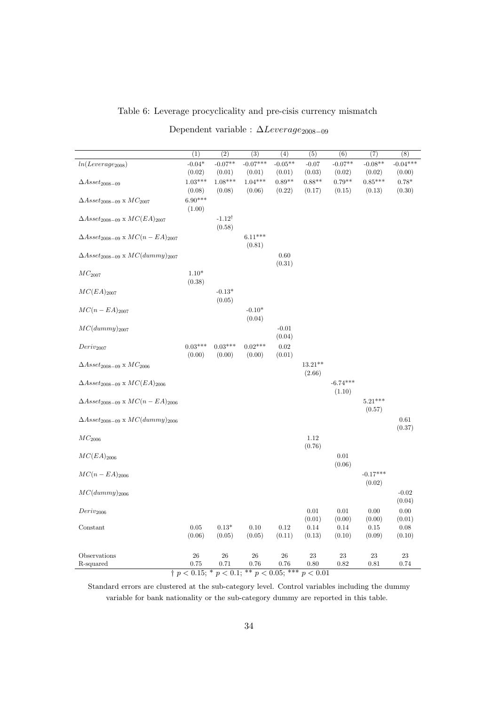#### <span id="page-36-0"></span>Table 6: Leverage procyclicality and pre-cisis currency mismatch

| Dependent variable : $\Delta Leverage_{2008-09}$ |  |
|--------------------------------------------------|--|
|--------------------------------------------------|--|

| $-0.07**$<br>$-0.07***$<br>$-0.08**$<br>$-0.04*$<br>$-0.05**$<br>$-0.07$<br>$-0.07**$<br>$ln(Leverage_{2008})$<br>(0.02)<br>(0.01)<br>(0.01)<br>(0.01)<br>(0.03)<br>(0.02)<br>(0.02)<br>(0.00)<br>$1.08***$<br>$1.04***$<br>$0.85***$<br>$1.03***$<br>$0.89**$<br>$0.88**$<br>$0.79**$<br>$0.78*$<br>$\Delta Asset_{2008-09}$<br>(0.06)<br>(0.08)<br>(0.08)<br>(0.22)<br>(0.17)<br>(0.15)<br>(0.13)<br>(0.30)<br>$6.90***$<br>$\Delta Asset_{2008-09}$ x $MC_{2007}$<br>(1.00)<br>$-1.12^{\dagger}$<br>$\Delta Asset_{2008-09} \times MC(EA)_{2007}$<br>(0.58)<br>$6.11***$<br>$\Delta Asset_{2008-09}$ x $MC(n - EA)_{2007}$<br>(0.81)<br>$\Delta Asset_{2008-09}$ x $MC(dummy)_{2007}$<br>0.60<br>(0.31)<br>$1.10*$<br>$MC_{2007}$<br>(0.38)<br>$MC(EA)_{2007}$<br>$-0.13*$<br>(0.05)<br>$MC(n - EA)_{2007}$<br>$-0.10*$<br>(0.04)<br>$MC(dummy)_{2007}$<br>$-0.01$<br>(0.04)<br>$0.02***$<br>$0.03***$<br>$0.03***$<br>$\rm 0.02$<br>$Deriv_{2007}$<br>(0.00)<br>(0.00)<br>(0.00)<br>(0.01)<br>$13.21**$<br>$\Delta Asset_{2008-09}$ x $MC_{2006}$<br>(2.66)<br>$-6.74***$<br>$\Delta Asset_{2008-09}$ x $MC(EA)_{2006}$<br>(1.10)<br>$5.21***$<br>$\Delta Asset_{2008-09}$ x $MC(n - EA)_{2006}$<br>(0.57)<br>$\Delta Asset_{2008-09}$ x $MC(dummy)_{2006}$<br>0.61<br>(0.37)<br>$MC_{2006}$<br>1.12<br>(0.76)<br>$MC(EA)_{2006}$<br>0.01<br>(0.06) | $\overline{(1)}$ | $\overline{(2)}$ | (3) | (4) | (5) | (6) | (7) | (8)        |
|---------------------------------------------------------------------------------------------------------------------------------------------------------------------------------------------------------------------------------------------------------------------------------------------------------------------------------------------------------------------------------------------------------------------------------------------------------------------------------------------------------------------------------------------------------------------------------------------------------------------------------------------------------------------------------------------------------------------------------------------------------------------------------------------------------------------------------------------------------------------------------------------------------------------------------------------------------------------------------------------------------------------------------------------------------------------------------------------------------------------------------------------------------------------------------------------------------------------------------------------------------------------------------------------------------------------------------------------------------|------------------|------------------|-----|-----|-----|-----|-----|------------|
|                                                                                                                                                                                                                                                                                                                                                                                                                                                                                                                                                                                                                                                                                                                                                                                                                                                                                                                                                                                                                                                                                                                                                                                                                                                                                                                                                         |                  |                  |     |     |     |     |     | $-0.04***$ |
|                                                                                                                                                                                                                                                                                                                                                                                                                                                                                                                                                                                                                                                                                                                                                                                                                                                                                                                                                                                                                                                                                                                                                                                                                                                                                                                                                         |                  |                  |     |     |     |     |     |            |
|                                                                                                                                                                                                                                                                                                                                                                                                                                                                                                                                                                                                                                                                                                                                                                                                                                                                                                                                                                                                                                                                                                                                                                                                                                                                                                                                                         |                  |                  |     |     |     |     |     |            |
|                                                                                                                                                                                                                                                                                                                                                                                                                                                                                                                                                                                                                                                                                                                                                                                                                                                                                                                                                                                                                                                                                                                                                                                                                                                                                                                                                         |                  |                  |     |     |     |     |     |            |
|                                                                                                                                                                                                                                                                                                                                                                                                                                                                                                                                                                                                                                                                                                                                                                                                                                                                                                                                                                                                                                                                                                                                                                                                                                                                                                                                                         |                  |                  |     |     |     |     |     |            |
|                                                                                                                                                                                                                                                                                                                                                                                                                                                                                                                                                                                                                                                                                                                                                                                                                                                                                                                                                                                                                                                                                                                                                                                                                                                                                                                                                         |                  |                  |     |     |     |     |     |            |
|                                                                                                                                                                                                                                                                                                                                                                                                                                                                                                                                                                                                                                                                                                                                                                                                                                                                                                                                                                                                                                                                                                                                                                                                                                                                                                                                                         |                  |                  |     |     |     |     |     |            |
|                                                                                                                                                                                                                                                                                                                                                                                                                                                                                                                                                                                                                                                                                                                                                                                                                                                                                                                                                                                                                                                                                                                                                                                                                                                                                                                                                         |                  |                  |     |     |     |     |     |            |
|                                                                                                                                                                                                                                                                                                                                                                                                                                                                                                                                                                                                                                                                                                                                                                                                                                                                                                                                                                                                                                                                                                                                                                                                                                                                                                                                                         |                  |                  |     |     |     |     |     |            |
|                                                                                                                                                                                                                                                                                                                                                                                                                                                                                                                                                                                                                                                                                                                                                                                                                                                                                                                                                                                                                                                                                                                                                                                                                                                                                                                                                         |                  |                  |     |     |     |     |     |            |
|                                                                                                                                                                                                                                                                                                                                                                                                                                                                                                                                                                                                                                                                                                                                                                                                                                                                                                                                                                                                                                                                                                                                                                                                                                                                                                                                                         |                  |                  |     |     |     |     |     |            |
|                                                                                                                                                                                                                                                                                                                                                                                                                                                                                                                                                                                                                                                                                                                                                                                                                                                                                                                                                                                                                                                                                                                                                                                                                                                                                                                                                         |                  |                  |     |     |     |     |     |            |
|                                                                                                                                                                                                                                                                                                                                                                                                                                                                                                                                                                                                                                                                                                                                                                                                                                                                                                                                                                                                                                                                                                                                                                                                                                                                                                                                                         |                  |                  |     |     |     |     |     |            |
|                                                                                                                                                                                                                                                                                                                                                                                                                                                                                                                                                                                                                                                                                                                                                                                                                                                                                                                                                                                                                                                                                                                                                                                                                                                                                                                                                         |                  |                  |     |     |     |     |     |            |
|                                                                                                                                                                                                                                                                                                                                                                                                                                                                                                                                                                                                                                                                                                                                                                                                                                                                                                                                                                                                                                                                                                                                                                                                                                                                                                                                                         |                  |                  |     |     |     |     |     |            |
|                                                                                                                                                                                                                                                                                                                                                                                                                                                                                                                                                                                                                                                                                                                                                                                                                                                                                                                                                                                                                                                                                                                                                                                                                                                                                                                                                         |                  |                  |     |     |     |     |     |            |
|                                                                                                                                                                                                                                                                                                                                                                                                                                                                                                                                                                                                                                                                                                                                                                                                                                                                                                                                                                                                                                                                                                                                                                                                                                                                                                                                                         |                  |                  |     |     |     |     |     |            |
|                                                                                                                                                                                                                                                                                                                                                                                                                                                                                                                                                                                                                                                                                                                                                                                                                                                                                                                                                                                                                                                                                                                                                                                                                                                                                                                                                         |                  |                  |     |     |     |     |     |            |
|                                                                                                                                                                                                                                                                                                                                                                                                                                                                                                                                                                                                                                                                                                                                                                                                                                                                                                                                                                                                                                                                                                                                                                                                                                                                                                                                                         |                  |                  |     |     |     |     |     |            |
|                                                                                                                                                                                                                                                                                                                                                                                                                                                                                                                                                                                                                                                                                                                                                                                                                                                                                                                                                                                                                                                                                                                                                                                                                                                                                                                                                         |                  |                  |     |     |     |     |     |            |
|                                                                                                                                                                                                                                                                                                                                                                                                                                                                                                                                                                                                                                                                                                                                                                                                                                                                                                                                                                                                                                                                                                                                                                                                                                                                                                                                                         |                  |                  |     |     |     |     |     |            |
|                                                                                                                                                                                                                                                                                                                                                                                                                                                                                                                                                                                                                                                                                                                                                                                                                                                                                                                                                                                                                                                                                                                                                                                                                                                                                                                                                         |                  |                  |     |     |     |     |     |            |
|                                                                                                                                                                                                                                                                                                                                                                                                                                                                                                                                                                                                                                                                                                                                                                                                                                                                                                                                                                                                                                                                                                                                                                                                                                                                                                                                                         |                  |                  |     |     |     |     |     |            |
|                                                                                                                                                                                                                                                                                                                                                                                                                                                                                                                                                                                                                                                                                                                                                                                                                                                                                                                                                                                                                                                                                                                                                                                                                                                                                                                                                         |                  |                  |     |     |     |     |     |            |
|                                                                                                                                                                                                                                                                                                                                                                                                                                                                                                                                                                                                                                                                                                                                                                                                                                                                                                                                                                                                                                                                                                                                                                                                                                                                                                                                                         |                  |                  |     |     |     |     |     |            |
|                                                                                                                                                                                                                                                                                                                                                                                                                                                                                                                                                                                                                                                                                                                                                                                                                                                                                                                                                                                                                                                                                                                                                                                                                                                                                                                                                         |                  |                  |     |     |     |     |     |            |
|                                                                                                                                                                                                                                                                                                                                                                                                                                                                                                                                                                                                                                                                                                                                                                                                                                                                                                                                                                                                                                                                                                                                                                                                                                                                                                                                                         |                  |                  |     |     |     |     |     |            |
|                                                                                                                                                                                                                                                                                                                                                                                                                                                                                                                                                                                                                                                                                                                                                                                                                                                                                                                                                                                                                                                                                                                                                                                                                                                                                                                                                         |                  |                  |     |     |     |     |     |            |
|                                                                                                                                                                                                                                                                                                                                                                                                                                                                                                                                                                                                                                                                                                                                                                                                                                                                                                                                                                                                                                                                                                                                                                                                                                                                                                                                                         |                  |                  |     |     |     |     |     |            |
|                                                                                                                                                                                                                                                                                                                                                                                                                                                                                                                                                                                                                                                                                                                                                                                                                                                                                                                                                                                                                                                                                                                                                                                                                                                                                                                                                         |                  |                  |     |     |     |     |     |            |
|                                                                                                                                                                                                                                                                                                                                                                                                                                                                                                                                                                                                                                                                                                                                                                                                                                                                                                                                                                                                                                                                                                                                                                                                                                                                                                                                                         |                  |                  |     |     |     |     |     |            |
|                                                                                                                                                                                                                                                                                                                                                                                                                                                                                                                                                                                                                                                                                                                                                                                                                                                                                                                                                                                                                                                                                                                                                                                                                                                                                                                                                         |                  |                  |     |     |     |     |     |            |
|                                                                                                                                                                                                                                                                                                                                                                                                                                                                                                                                                                                                                                                                                                                                                                                                                                                                                                                                                                                                                                                                                                                                                                                                                                                                                                                                                         |                  |                  |     |     |     |     |     |            |
|                                                                                                                                                                                                                                                                                                                                                                                                                                                                                                                                                                                                                                                                                                                                                                                                                                                                                                                                                                                                                                                                                                                                                                                                                                                                                                                                                         |                  |                  |     |     |     |     |     |            |
| $MC(n - EA)_{2006}$<br>$-0.17***$                                                                                                                                                                                                                                                                                                                                                                                                                                                                                                                                                                                                                                                                                                                                                                                                                                                                                                                                                                                                                                                                                                                                                                                                                                                                                                                       |                  |                  |     |     |     |     |     |            |
| (0.02)                                                                                                                                                                                                                                                                                                                                                                                                                                                                                                                                                                                                                                                                                                                                                                                                                                                                                                                                                                                                                                                                                                                                                                                                                                                                                                                                                  |                  |                  |     |     |     |     |     |            |
| $MC(dummy)_{2006}$<br>$-0.02$                                                                                                                                                                                                                                                                                                                                                                                                                                                                                                                                                                                                                                                                                                                                                                                                                                                                                                                                                                                                                                                                                                                                                                                                                                                                                                                           |                  |                  |     |     |     |     |     |            |
| (0.04)                                                                                                                                                                                                                                                                                                                                                                                                                                                                                                                                                                                                                                                                                                                                                                                                                                                                                                                                                                                                                                                                                                                                                                                                                                                                                                                                                  |                  |                  |     |     |     |     |     |            |
| 0.01<br>0.01<br>0.00<br>0.00<br>$Deriv_{2006}$                                                                                                                                                                                                                                                                                                                                                                                                                                                                                                                                                                                                                                                                                                                                                                                                                                                                                                                                                                                                                                                                                                                                                                                                                                                                                                          |                  |                  |     |     |     |     |     |            |
| (0.01)<br>(0.00)<br>(0.01)<br>(0.00)                                                                                                                                                                                                                                                                                                                                                                                                                                                                                                                                                                                                                                                                                                                                                                                                                                                                                                                                                                                                                                                                                                                                                                                                                                                                                                                    |                  |                  |     |     |     |     |     |            |
| 0.05<br>$0.13*$<br>Constant<br>0.10<br>0.12<br>0.14<br>0.08<br>0.14<br>0.15                                                                                                                                                                                                                                                                                                                                                                                                                                                                                                                                                                                                                                                                                                                                                                                                                                                                                                                                                                                                                                                                                                                                                                                                                                                                             |                  |                  |     |     |     |     |     |            |
| (0.06)<br>(0.05)<br>(0.05)<br>(0.11)<br>(0.13)<br>(0.10)<br>(0.09)<br>(0.10)                                                                                                                                                                                                                                                                                                                                                                                                                                                                                                                                                                                                                                                                                                                                                                                                                                                                                                                                                                                                                                                                                                                                                                                                                                                                            |                  |                  |     |     |     |     |     |            |
|                                                                                                                                                                                                                                                                                                                                                                                                                                                                                                                                                                                                                                                                                                                                                                                                                                                                                                                                                                                                                                                                                                                                                                                                                                                                                                                                                         |                  |                  |     |     |     |     |     |            |
| 26<br>Observations<br>26<br>$26\,$<br>26<br>23<br>23<br>23<br>$23\,$                                                                                                                                                                                                                                                                                                                                                                                                                                                                                                                                                                                                                                                                                                                                                                                                                                                                                                                                                                                                                                                                                                                                                                                                                                                                                    |                  |                  |     |     |     |     |     |            |
| 0.75<br>0.71<br>0.76<br>$0.76\,$<br>0.80<br>0.82<br>R-squared<br>0.81<br>0.74<br>$\frac{1}{2} p \lt 0.15$ ; * $p \lt 0.1$ ; ** $p \lt 0.05$ ; *** $p \lt 0.01$                                                                                                                                                                                                                                                                                                                                                                                                                                                                                                                                                                                                                                                                                                                                                                                                                                                                                                                                                                                                                                                                                                                                                                                          |                  |                  |     |     |     |     |     |            |

Standard errors are clustered at the sub-category level. Control variables including the dummy variable for bank nationality or the sub-category dummy are reported in this table.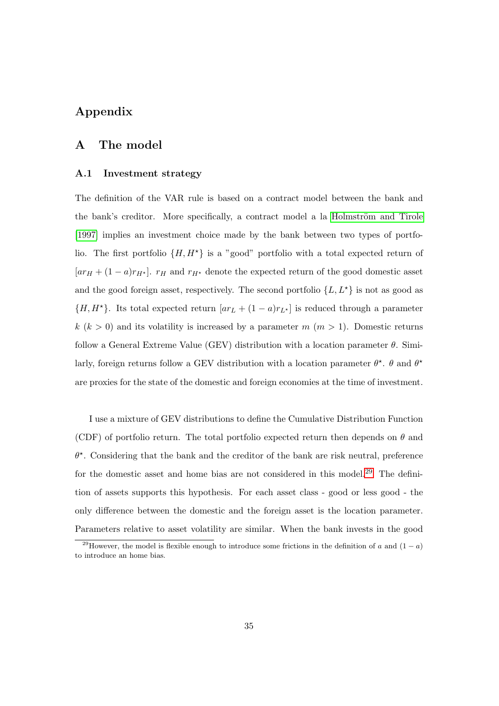## Appendix

#### A The model

#### <span id="page-37-0"></span>A.1 Investment strategy

The definition of the VAR rule is based on a contract model between the bank and the bank's creditor. More specifically, a contract model a la Holmström and Tirole [\[1997\]](#page-31-4) implies an investment choice made by the bank between two types of portfolio. The first portfolio  $\{H, H^*\}$  is a "good" portfolio with a total expected return of  $[ar_{H} + (1-a)r_{H*}]$ .  $r_{H}$  and  $r_{H*}$  denote the expected return of the good domestic asset and the good foreign asset, respectively. The second portfolio  $\{L, L^{\star}\}\$ is not as good as  ${H, H^{\star}}$ . Its total expected return  $[ar_L + (1 - a)r_{L^{\star}}]$  is reduced through a parameter  $k (k > 0)$  and its volatility is increased by a parameter m  $(m > 1)$ . Domestic returns follow a General Extreme Value (GEV) distribution with a location parameter  $\theta$ . Similarly, foreign returns follow a GEV distribution with a location parameter  $\theta^*$ .  $\theta$  and  $\theta^*$ are proxies for the state of the domestic and foreign economies at the time of investment.

I use a mixture of GEV distributions to define the Cumulative Distribution Function (CDF) of portfolio return. The total portfolio expected return then depends on  $\theta$  and  $\theta^*$ . Considering that the bank and the creditor of the bank are risk neutral, preference for the domestic asset and home bias are not considered in this model.<sup>[29](#page--1-0)</sup> The definition of assets supports this hypothesis. For each asset class - good or less good - the only difference between the domestic and the foreign asset is the location parameter. Parameters relative to asset volatility are similar. When the bank invests in the good

<sup>&</sup>lt;sup>29</sup>However, the model is flexible enough to introduce some frictions in the definition of a and  $(1 - a)$ to introduce an home bias.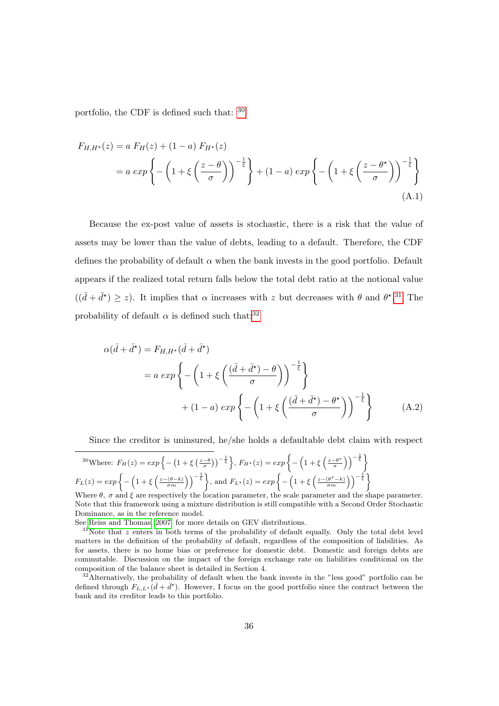portfolio, the CDF is defined such that: [30](#page--1-0)

$$
F_{H,H^*}(z) = a F_H(z) + (1 - a) F_{H^*}(z)
$$
  
=  $a \exp \left\{ -\left(1 + \xi \left(\frac{z - \theta}{\sigma}\right)\right)^{-\frac{1}{\xi}} \right\} + (1 - a) \exp \left\{ -\left(1 + \xi \left(\frac{z - \theta^*}{\sigma}\right)\right)^{-\frac{1}{\xi}} \right\}$  (A.1)

Because the ex-post value of assets is stochastic, there is a risk that the value of assets may be lower than the value of debts, leading to a default. Therefore, the CDF defines the probability of default  $\alpha$  when the bank invests in the good portfolio. Default appears if the realized total return falls below the total debt ratio at the notional value  $((\bar{d} + \bar{d}^*) \geq z)$ . It implies that  $\alpha$  increases with z but decreases with  $\theta$  and  $\theta^*$ .<sup>[31](#page--1-0)</sup> The probability of default  $\alpha$  is defined such that:<sup>[32](#page--1-0)</sup>

$$
\alpha(\bar{d} + \bar{d}^{\star}) = F_{H, H^{\star}}(\bar{d} + \bar{d}^{\star})
$$
  
=  $a \exp \left\{-\left(1 + \xi \left(\frac{(\bar{d} + \bar{d}^{\star}) - \theta}{\sigma}\right)\right)^{-\frac{1}{\xi}}\right\}$   
+  $(1 - a) \exp \left\{-\left(1 + \xi \left(\frac{(\bar{d} + \bar{d}^{\star}) - \theta^{\star}}{\sigma}\right)\right)^{-\frac{1}{\xi}}\right\}$  (A.2)

Since the creditor is uninsured, he/she holds a defaultable debt claim with respect

$$
{}^{30}\text{Where: } F_H(z) = \exp\left\{-\left(1 + \xi\left(\frac{z-\theta}{\sigma}\right)\right)^{-\frac{1}{\xi}}\right\}, F_{H^\star}(z) = \exp\left\{-\left(1 + \xi\left(\frac{z-\theta^\star}{\sigma}\right)\right)^{-\frac{1}{\xi}}\right\}
$$
\n
$$
F_L(z) = \exp\left\{-\left(1 + \xi\left(\frac{z-(\theta-k)}{\sigma m}\right)\right)^{-\frac{1}{\xi}}\right\}, \text{ and } F_{L^\star}(z) = \exp\left\{-\left(1 + \xi\left(\frac{z-(\theta^\star-k)}{\sigma m}\right)\right)^{-\frac{1}{\xi}}\right\}
$$

Where  $\theta$ ,  $\sigma$  and  $\xi$  are respectively the location parameter, the scale parameter and the shape parameter. Note that this framework using a mixture distribution is still compatible with a Second Order Stochastic Dominance, as in the reference model.

See [Reiss and Thomas](#page-32-6) [\[2007\]](#page-32-6) for more details on GEV distributions.

 $31$ Note that z enters in both terms of the probability of default equally. Only the total debt level matters in the definition of the probability of default, regardless of the composition of liabilities. As for assets, there is no home bias or preference for domestic debt. Domestic and foreign debts are commutable. Discussion on the impact of the foreign exchange rate on liabilities conditional on the composition of the balance sheet is detailed in Section 4.

<sup>32</sup>Alternatively, the probability of default when the bank invests in the "less good" portfolio can be defined through  $F_{L,L^*}(\bar{d}+\bar{d}^*)$ . However, I focus on the good portfolio since the contract between the bank and its creditor leads to this portfolio.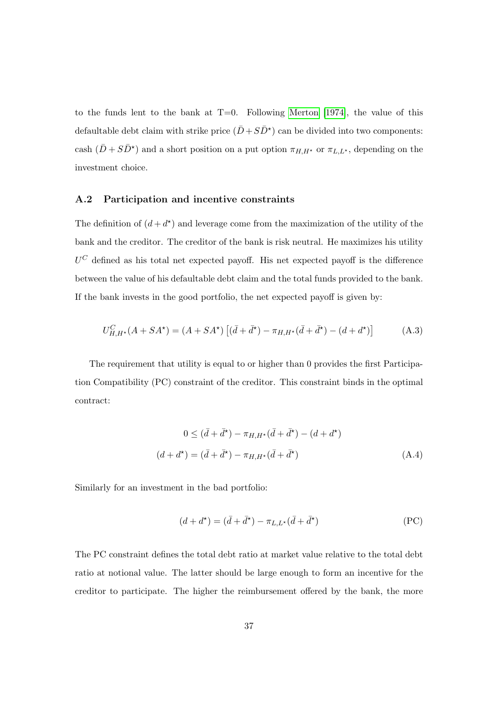to the funds lent to the bank at  $T=0$ . Following [Merton](#page-32-8) [\[1974\]](#page-32-8), the value of this defaultable debt claim with strike price  $(\bar{D} + S\bar{D}^*)$  can be divided into two components: cash  $(\bar{D} + S\bar{D}^*)$  and a short position on a put option  $\pi_{H,H^*}$  or  $\pi_{L,L^*}$ , depending on the investment choice.

#### <span id="page-39-0"></span>A.2 Participation and incentive constraints

The definition of  $(d + d^*)$  and leverage come from the maximization of the utility of the bank and the creditor. The creditor of the bank is risk neutral. He maximizes his utility  $U^C$  defined as his total net expected payoff. His net expected payoff is the difference between the value of his defaultable debt claim and the total funds provided to the bank. If the bank invests in the good portfolio, the net expected payoff is given by:

$$
U_{H,H^{\star}}^{C}(A+SA^{\star}) = (A+SA^{\star})\left[ (\bar{d}+\bar{d}^{\star}) - \pi_{H,H^{\star}}(\bar{d}+\bar{d}^{\star}) - (d+d^{\star}) \right]
$$
(A.3)

The requirement that utility is equal to or higher than 0 provides the first Participation Compatibility (PC) constraint of the creditor. This constraint binds in the optimal contract:

$$
0 \le (\bar{d} + \bar{d}^*) - \pi_{H, H^*}(\bar{d} + \bar{d}^*) - (d + d^*)
$$
  

$$
(d + d^*) = (\bar{d} + \bar{d}^*) - \pi_{H, H^*}(\bar{d} + \bar{d}^*)
$$
 (A.4)

Similarly for an investment in the bad portfolio:

$$
(d + d^*) = (\bar{d} + \bar{d}^*) - \pi_{L,L^*}(\bar{d} + \bar{d}^*)
$$
 (PC)

The PC constraint defines the total debt ratio at market value relative to the total debt ratio at notional value. The latter should be large enough to form an incentive for the creditor to participate. The higher the reimbursement offered by the bank, the more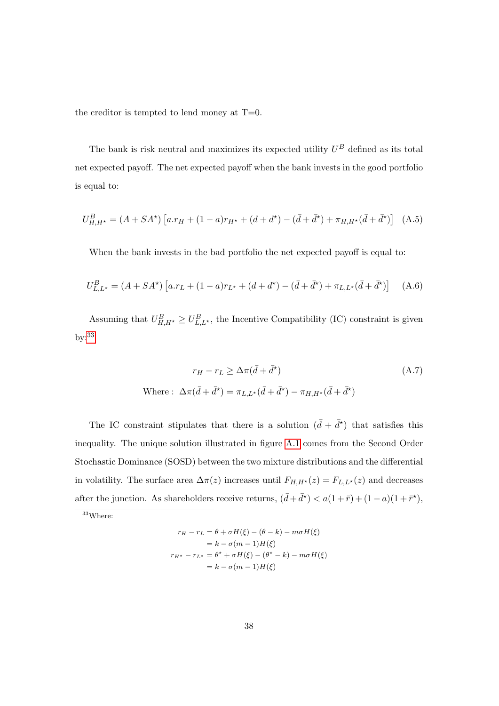the creditor is tempted to lend money at  $T=0$ .

The bank is risk neutral and maximizes its expected utility  $U^B$  defined as its total net expected payoff. The net expected payoff when the bank invests in the good portfolio is equal to:

$$
U_{H,H^{\star}}^{B} = (A + SA^{\star}) \left[ a.r_H + (1 - a)r_{H^{\star}} + (d + d^{\star}) - (\bar{d} + \bar{d}^{\star}) + \pi_{H,H^{\star}} (\bar{d} + \bar{d}^{\star}) \right]
$$
 (A.5)

When the bank invests in the bad portfolio the net expected payoff is equal to:

$$
U_{L,L^*}^B = (A + SA^*) \left[ a.r_L + (1 - a)r_{L^*} + (d + d^*) - (\bar{d} + \bar{d}^*) + \pi_{L,L^*} (\bar{d} + \bar{d}^*) \right]
$$
(A.6)

Assuming that  $U_{H,H^*}^B \geq U_{L,L^*}^B$ , the Incentive Compatibility (IC) constraint is given by:<sup>[33](#page--1-0)</sup>

$$
r_H - r_L \ge \Delta \pi (\bar{d} + \bar{d}^*)
$$
\nWhere: 
$$
\Delta \pi (\bar{d} + \bar{d}^*) = \pi_{L,L^*} (\bar{d} + \bar{d}^*) - \pi_{H,H^*} (\bar{d} + \bar{d}^*)
$$

\n(A.7)

The IC constraint stipulates that there is a solution  $(\bar{d} + \bar{d}^{\star})$  that satisfies this inequality. The unique solution illustrated in figure [A.1](#page-41-0) comes from the Second Order Stochastic Dominance (SOSD) between the two mixture distributions and the differential in volatility. The surface area  $\Delta \pi(z)$  increases until  $F_{H,H^{\star}}(z) = F_{L,L^{\star}}(z)$  and decreases after the junction. As shareholders receive returns,  $(\bar{d} + \bar{d}^{\star}) < a(1 + \bar{r}) + (1 - a)(1 + \bar{r}^{\star}),$ 

<sup>33</sup>Where:

$$
r_H - r_L = \theta + \sigma H(\xi) - (\theta - k) - m\sigma H(\xi)
$$

$$
= k - \sigma(m - 1)H(\xi)
$$

$$
r_{H^*} - r_{L^*} = \theta^* + \sigma H(\xi) - (\theta^* - k) - m\sigma H(\xi)
$$

$$
= k - \sigma(m - 1)H(\xi)
$$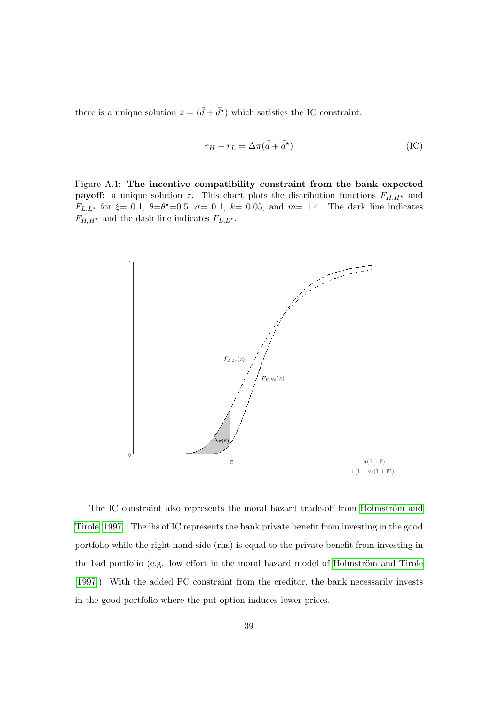there is a unique solution  $\bar{z} = (\bar{d} + \bar{d}^*)$  which satisfies the IC constraint.

$$
r_H - r_L = \Delta \pi (\bar{d} + \bar{d}^{\star})
$$
 (IC)

<span id="page-41-0"></span>Figure A.1: The incentive compatibility constraint from the bank expected **payoff:** a unique solution  $\bar{z}$ . This chart plots the distribution functions  $F_{H,H^*}$  and  $F_{L,L^*}$  for  $\xi = 0.1, \ \theta = \theta^* = 0.5, \ \sigma = 0.1, \ k = 0.05, \text{ and } m = 1.4.$  The dark line indicates  $F_{H,H^*}$  and the dash line indicates  $F_{L,L^*}$ .



The IC constraint also represents the moral hazard trade-off from Holmström and [Tirole](#page-31-4) [\[1997\]](#page-31-4). The lhs of IC represents the bank private benefit from investing in the good portfolio while the right hand side (rhs) is equal to the private benefit from investing in the bad portfolio (e.g. low effort in the moral hazard model of Holmström and Tirole [\[1997\]](#page-31-4)). With the added PC constraint from the creditor, the bank necessarily invests in the good portfolio where the put option induces lower prices.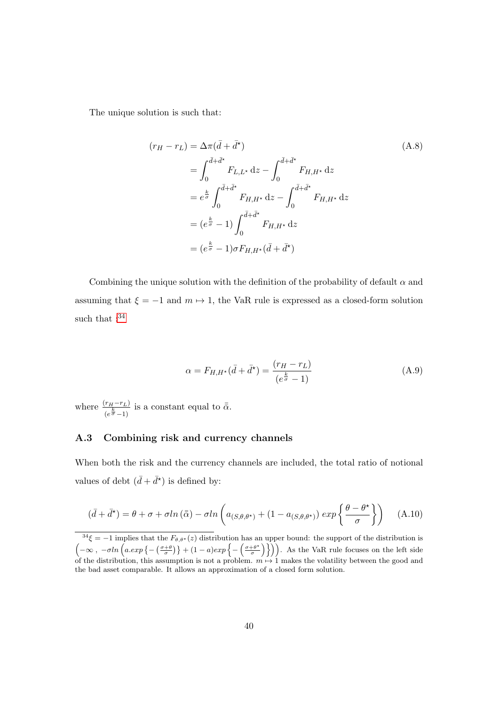The unique solution is such that:

$$
(r_H - r_L) = \Delta \pi (\bar{d} + \bar{d}^*)
$$
\n
$$
= \int_0^{\bar{d} + \bar{d}^*} F_{L, L^*} dz - \int_0^{\bar{d} + \bar{d}^*} F_{H, H^*} dz
$$
\n
$$
= e^{\frac{k}{\sigma}} \int_0^{\bar{d} + \bar{d}^*} F_{H, H^*} dz - \int_0^{\bar{d} + \bar{d}^*} F_{H, H^*} dz
$$
\n
$$
= (e^{\frac{k}{\sigma}} - 1) \int_0^{\bar{d} + \bar{d}^*} F_{H, H^*} dz
$$
\n
$$
= (e^{\frac{k}{\sigma}} - 1) \sigma F_{H, H^*} (\bar{d} + \bar{d}^*)
$$
\n
$$
(A.8)
$$

Combining the unique solution with the definition of the probability of default  $\alpha$  and assuming that  $\xi = -1$  and  $m \mapsto 1$ , the VaR rule is expressed as a closed-form solution such that  $: ^{34}$  $: ^{34}$  $: ^{34}$ 

$$
\alpha = F_{H,H^*}(\bar{d} + \bar{d}^*) = \frac{(r_H - r_L)}{(e^{\frac{k}{\sigma}} - 1)}
$$
(A.9)

where  $\frac{(r_H-r_L)}{(e^{\frac{k}{\sigma}}-1)}$  is a constant equal to  $\bar{\bar{\alpha}}$ .

#### <span id="page-42-0"></span>A.3 Combining risk and currency channels

When both the risk and the currency channels are included, the total ratio of notional values of debt  $(\bar{d} + \bar{d}^*)$  is defined by:

$$
(\bar{d} + \bar{d}^{\star}) = \theta + \sigma + \sigma \ln(\bar{\bar{\alpha}}) - \sigma \ln\left(a_{(S,\theta,\theta^{\star})} + (1 - a_{(S,\theta,\theta^{\star})}) \exp\left\{\frac{\theta - \theta^{\star}}{\sigma}\right\}\right) \tag{A.10}
$$

 $3^3\xi = -1$  implies that the  $F_{\theta,\theta^*}(z)$  distribution has an upper bound: the support of the distribution is  $\left(-\infty, -\sigma ln\left(a. exp\left\{-\left(\frac{\sigma+\theta}{\sigma}\right)\right\} + (1-a)exp\left\{-\left(\frac{\sigma+\theta^*}{\sigma}\right)\right\}\right\}\right)$  $\left(\frac{+\theta^*}{\sigma}\right)\}\)$ . As the VaR rule focuses on the left side of the distribution, this assumption is not a problem.  $m \mapsto 1$  makes the volatility between the good and the bad asset comparable. It allows an approximation of a closed form solution.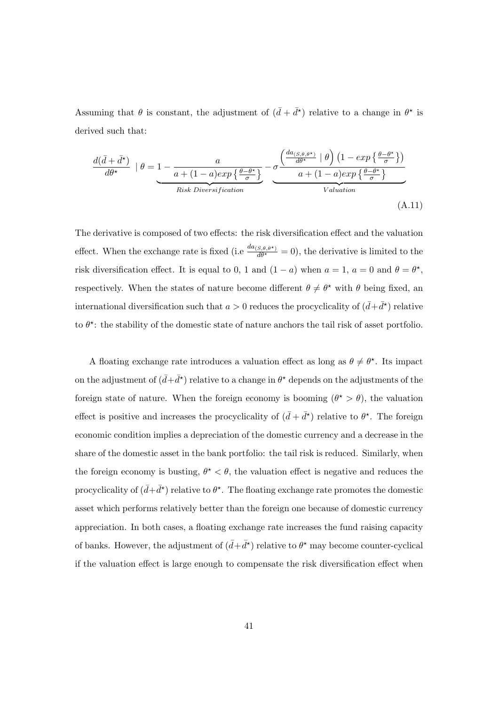Assuming that  $\theta$  is constant, the adjustment of  $(\bar{d} + \bar{d}^{\star})$  relative to a change in  $\theta^{\star}$  is derived such that:

$$
\frac{d(\bar{d} + \bar{d}^{\star})}{d\theta^{\star}} \mid \theta = 1 - \frac{a}{a + (1 - a)exp\left\{\frac{\theta - \theta^{\star}}{\sigma}\right\}} - \underbrace{\sigma \frac{\left(\frac{da_{(S, \theta, \theta^{\star})}}{d\theta^{\star}} \mid \theta\right) \left(1 - exp\left\{\frac{\theta - \theta^{\star}}{\sigma}\right\}\right)}{a + (1 - a)exp\left\{\frac{\theta - \theta^{\star}}{\sigma}\right\}}}_{Valuation}
$$
\n(A.11)

The derivative is composed of two effects: the risk diversification effect and the valuation effect. When the exchange rate is fixed (i.e  $\frac{da_{(S,\theta,\theta^*)}}{d\theta^*} = 0$ ), the derivative is limited to the risk diversification effect. It is equal to 0, 1 and  $(1 - a)$  when  $a = 1$ ,  $a = 0$  and  $\theta = \theta^*$ , respectively. When the states of nature become different  $\theta \neq \theta^*$  with  $\theta$  being fixed, an international diversification such that  $a > 0$  reduces the procyclicality of  $(\bar{d} + \bar{d}^*)$  relative to  $\theta^*$ : the stability of the domestic state of nature anchors the tail risk of asset portfolio.

A floating exchange rate introduces a valuation effect as long as  $\theta \neq \theta^*$ . Its impact on the adjustment of  $(d + \bar{d}^*)$  relative to a change in  $\theta^*$  depends on the adjustments of the foreign state of nature. When the foreign economy is booming  $(\theta^* > \theta)$ , the valuation effect is positive and increases the procyclicality of  $(\bar{d} + \bar{d}^{\star})$  relative to  $\theta^{\star}$ . The foreign economic condition implies a depreciation of the domestic currency and a decrease in the share of the domestic asset in the bank portfolio: the tail risk is reduced. Similarly, when the foreign economy is busting,  $\theta^* < \theta$ , the valuation effect is negative and reduces the procyclicality of  $(\bar{d} + \bar{d}^{\star})$  relative to  $\theta^{\star}$ . The floating exchange rate promotes the domestic asset which performs relatively better than the foreign one because of domestic currency appreciation. In both cases, a floating exchange rate increases the fund raising capacity of banks. However, the adjustment of  $(\bar{d} + \bar{d}^{\star})$  relative to  $\theta^{\star}$  may become counter-cyclical if the valuation effect is large enough to compensate the risk diversification effect when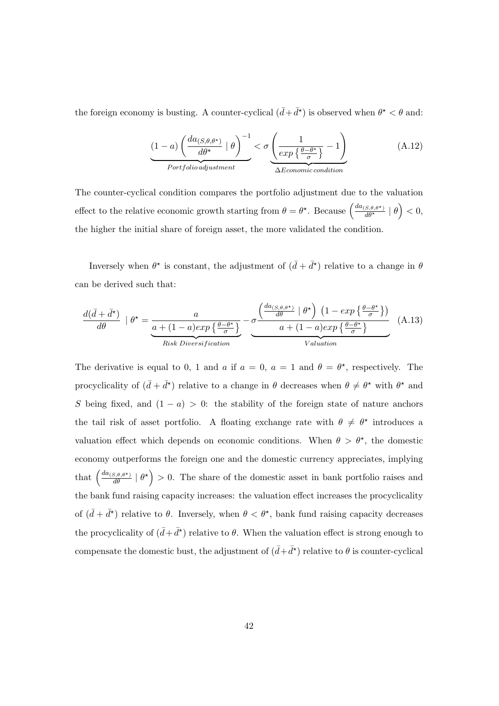the foreign economy is busting. A counter-cyclical  $(\bar{d} + \bar{d}^{\star})$  is observed when  $\theta^{\star} < \theta$  and:

$$
\underbrace{(1-a)\left(\frac{da_{(S,\theta,\theta^*)}}{d\theta^*} \mid \theta\right)^{-1}}_{Portfolio \text{ adjustment}} < \sigma \underbrace{\left(\frac{1}{exp\left\{\frac{\theta-\theta^*}{\sigma}\right\}} - 1\right)}_{\Delta Economic \text{condition}} \tag{A.12}
$$

The counter-cyclical condition compares the portfolio adjustment due to the valuation effect to the relative economic growth starting from  $\theta = \theta^*$ . Because  $\left( \frac{da_{(S,\theta,\theta^*)}}{d\theta^*} \mid \theta \right) < 0$ , the higher the initial share of foreign asset, the more validated the condition.

Inversely when  $\theta^*$  is constant, the adjustment of  $(\bar{d} + \bar{d}^*)$  relative to a change in  $\theta$ can be derived such that:

$$
\frac{d(\bar{d} + \bar{d}^{\star})}{d\theta} \mid \theta^{\star} = \underbrace{\frac{a}{a + (1 - a)exp\left\{\frac{\theta - \theta^{\star}}{\sigma}\right\}} - \sigma \frac{\left(\frac{da_{(S, \theta, \theta^{\star})}}{d\theta} \mid \theta^{\star}\right) \left(1 - exp\left\{\frac{\theta - \theta^{\star}}{\sigma}\right\}\right)}{a + (1 - a)exp\left\{\frac{\theta - \theta^{\star}}{\sigma}\right\}}}_{Valuation} (A.13)
$$

The derivative is equal to 0, 1 and a if  $a = 0$ ,  $a = 1$  and  $\theta = \theta^*$ , respectively. The procyclicality of  $(d + \bar{d}^*)$  relative to a change in  $\theta$  decreases when  $\theta \neq \theta^*$  with  $\theta^*$  and S being fixed, and  $(1 - a) > 0$ : the stability of the foreign state of nature anchors the tail risk of asset portfolio. A floating exchange rate with  $\theta \neq \theta^*$  introduces a valuation effect which depends on economic conditions. When  $\theta > \theta^*$ , the domestic economy outperforms the foreign one and the domestic currency appreciates, implying that  $\left(\frac{da_{(S,\theta,\theta^*)}}{d\theta}\mid \theta^*\right) > 0$ . The share of the domestic asset in bank portfolio raises and the bank fund raising capacity increases: the valuation effect increases the procyclicality of  $(\bar{d} + \bar{d}^*)$  relative to  $\theta$ . Inversely, when  $\theta < \theta^*$ , bank fund raising capacity decreases the procyclicality of  $(\bar{d} + \bar{d}^*)$  relative to  $\theta$ . When the valuation effect is strong enough to compensate the domestic bust, the adjustment of  $(\bar{d} + \bar{d}^{\star})$  relative to  $\theta$  is counter-cyclical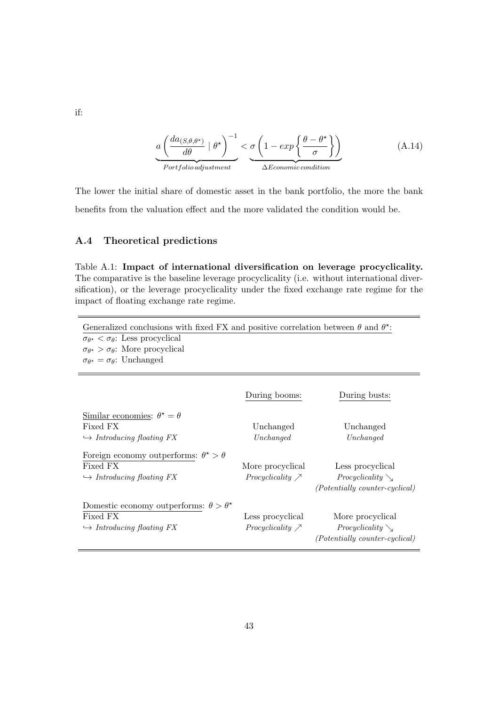$$
a\left(\frac{da_{(S,\theta,\theta^*)}}{d\theta} \mid \theta^{\star}\right)^{-1} < \underbrace{\sigma\left(1 - exp\left\{\frac{\theta - \theta^{\star}}{\sigma}\right\}\right)}_{\Delta E_{commic condition}}
$$
(A.14)

The lower the initial share of domestic asset in the bank portfolio, the more the bank benefits from the valuation effect and the more validated the condition would be.

#### A.4 Theoretical predictions

<span id="page-45-0"></span>Table A.1: Impact of international diversification on leverage procyclicality. The comparative is the baseline leverage procyclicality (i.e. without international diversification), or the leverage procyclicality under the fixed exchange rate regime for the impact of floating exchange rate regime.

| Generalized conclusions with fixed FX and positive correlation between $\theta$ and $\theta^*$ :<br>$\sigma_{\theta^{\star}} < \sigma_{\theta}$ : Less procyclical<br>$\sigma_{\theta^{\star}} > \sigma_{\theta}$ : More procyclical<br>$\sigma_{\theta^*} = \sigma_{\theta}$ : Unchanged |                                               |                                                                             |
|-------------------------------------------------------------------------------------------------------------------------------------------------------------------------------------------------------------------------------------------------------------------------------------------|-----------------------------------------------|-----------------------------------------------------------------------------|
|                                                                                                                                                                                                                                                                                           | During booms:                                 | During busts:                                                               |
| Similar economies: $\theta^* = \theta$<br>Fixed FX<br>$\hookrightarrow$ Introducing floating FX                                                                                                                                                                                           | Unchanged<br>Unchanged                        | Unchanged<br>Unchanged                                                      |
| Foreign economy outperforms: $\theta^* > \theta$<br>Fixed FX<br>$\hookrightarrow$ Introducing floating FX                                                                                                                                                                                 | More procyclical<br>Procyclicality $\nearrow$ | Less procyclical<br><i>Procyclicality</i><br>(Potentially counter-cyclical) |
| Domestic economy outperforms: $\theta > \theta^*$<br>Fixed FX<br>$\hookrightarrow$ Introducing floating FX                                                                                                                                                                                | Less procyclical<br>Procyclicality $\nearrow$ | More procyclical<br><i>Procyclicality</i><br>(Potentially counter-cyclical) |

if: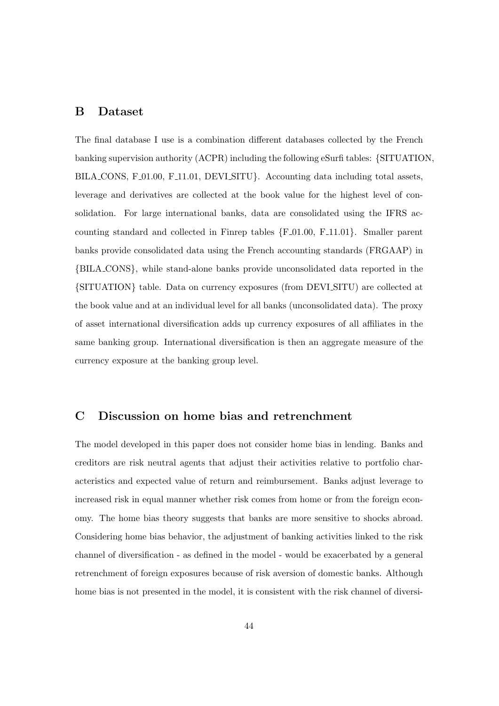#### <span id="page-46-1"></span>B Dataset

The final database I use is a combination different databases collected by the French banking supervision authority (ACPR) including the following eSurfi tables: {SITUATION, BILA CONS, F<sub>-01.00</sub>, F<sub>-11.01</sub>, DEVI<sub>-SITU</sub>. Accounting data including total assets, leverage and derivatives are collected at the book value for the highest level of consolidation. For large international banks, data are consolidated using the IFRS accounting standard and collected in Finrep tables  ${F.01.00, F.11.01}$ . Smaller parent banks provide consolidated data using the French accounting standards (FRGAAP) in {BILA CONS}, while stand-alone banks provide unconsolidated data reported in the {SITUATION} table. Data on currency exposures (from DEVI SITU) are collected at the book value and at an individual level for all banks (unconsolidated data). The proxy of asset international diversification adds up currency exposures of all affiliates in the same banking group. International diversification is then an aggregate measure of the currency exposure at the banking group level.

#### <span id="page-46-0"></span>C Discussion on home bias and retrenchment

The model developed in this paper does not consider home bias in lending. Banks and creditors are risk neutral agents that adjust their activities relative to portfolio characteristics and expected value of return and reimbursement. Banks adjust leverage to increased risk in equal manner whether risk comes from home or from the foreign economy. The home bias theory suggests that banks are more sensitive to shocks abroad. Considering home bias behavior, the adjustment of banking activities linked to the risk channel of diversification - as defined in the model - would be exacerbated by a general retrenchment of foreign exposures because of risk aversion of domestic banks. Although home bias is not presented in the model, it is consistent with the risk channel of diversi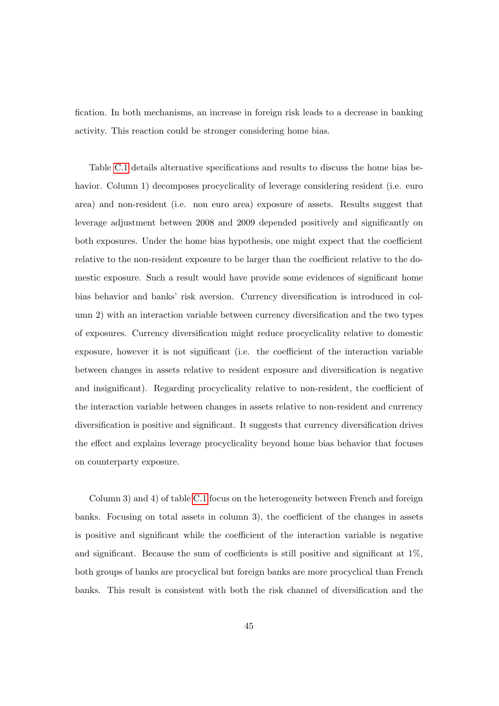fication. In both mechanisms, an increase in foreign risk leads to a decrease in banking activity. This reaction could be stronger considering home bias.

Table [C.1](#page-49-0) details alternative specifications and results to discuss the home bias behavior. Column 1) decomposes procyclicality of leverage considering resident (i.e. euro area) and non-resident (i.e. non euro area) exposure of assets. Results suggest that leverage adjustment between 2008 and 2009 depended positively and significantly on both exposures. Under the home bias hypothesis, one might expect that the coefficient relative to the non-resident exposure to be larger than the coefficient relative to the domestic exposure. Such a result would have provide some evidences of significant home bias behavior and banks' risk aversion. Currency diversification is introduced in column 2) with an interaction variable between currency diversification and the two types of exposures. Currency diversification might reduce procyclicality relative to domestic exposure, however it is not significant (i.e. the coefficient of the interaction variable between changes in assets relative to resident exposure and diversification is negative and insignificant). Regarding procyclicality relative to non-resident, the coefficient of the interaction variable between changes in assets relative to non-resident and currency diversification is positive and significant. It suggests that currency diversification drives the effect and explains leverage procyclicality beyond home bias behavior that focuses on counterparty exposure.

Column 3) and 4) of table [C.1](#page-49-0) focus on the heterogeneity between French and foreign banks. Focusing on total assets in column 3), the coefficient of the changes in assets is positive and significant while the coefficient of the interaction variable is negative and significant. Because the sum of coefficients is still positive and significant at 1%, both groups of banks are procyclical but foreign banks are more procyclical than French banks. This result is consistent with both the risk channel of diversification and the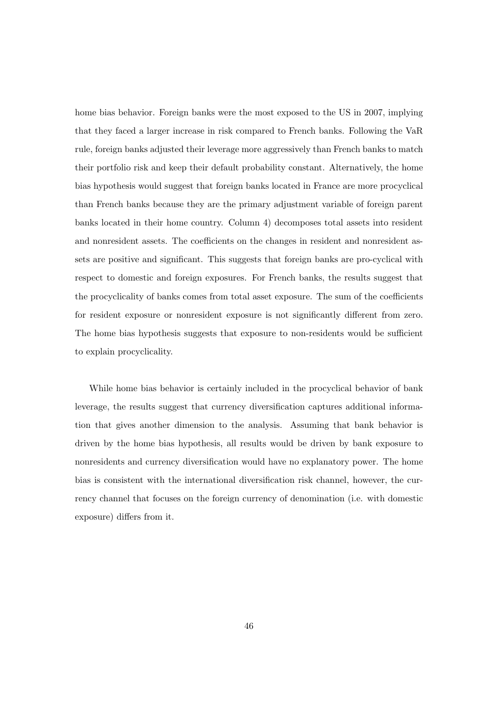home bias behavior. Foreign banks were the most exposed to the US in 2007, implying that they faced a larger increase in risk compared to French banks. Following the VaR rule, foreign banks adjusted their leverage more aggressively than French banks to match their portfolio risk and keep their default probability constant. Alternatively, the home bias hypothesis would suggest that foreign banks located in France are more procyclical than French banks because they are the primary adjustment variable of foreign parent banks located in their home country. Column 4) decomposes total assets into resident and nonresident assets. The coefficients on the changes in resident and nonresident assets are positive and significant. This suggests that foreign banks are pro-cyclical with respect to domestic and foreign exposures. For French banks, the results suggest that the procyclicality of banks comes from total asset exposure. The sum of the coefficients for resident exposure or nonresident exposure is not significantly different from zero. The home bias hypothesis suggests that exposure to non-residents would be sufficient to explain procyclicality.

While home bias behavior is certainly included in the procyclical behavior of bank leverage, the results suggest that currency diversification captures additional information that gives another dimension to the analysis. Assuming that bank behavior is driven by the home bias hypothesis, all results would be driven by bank exposure to nonresidents and currency diversification would have no explanatory power. The home bias is consistent with the international diversification risk channel, however, the currency channel that focuses on the foreign currency of denomination (i.e. with domestic exposure) differs from it.